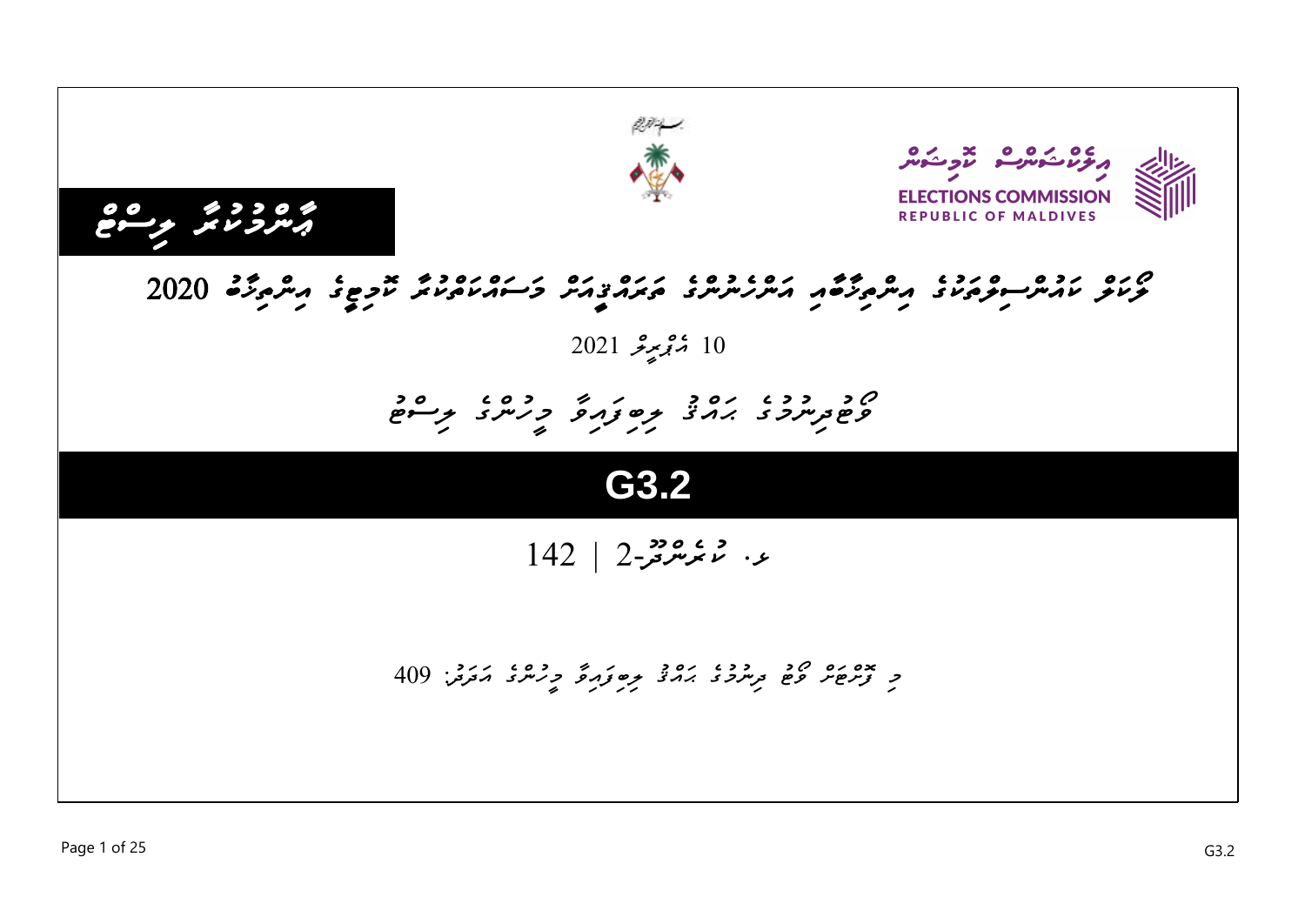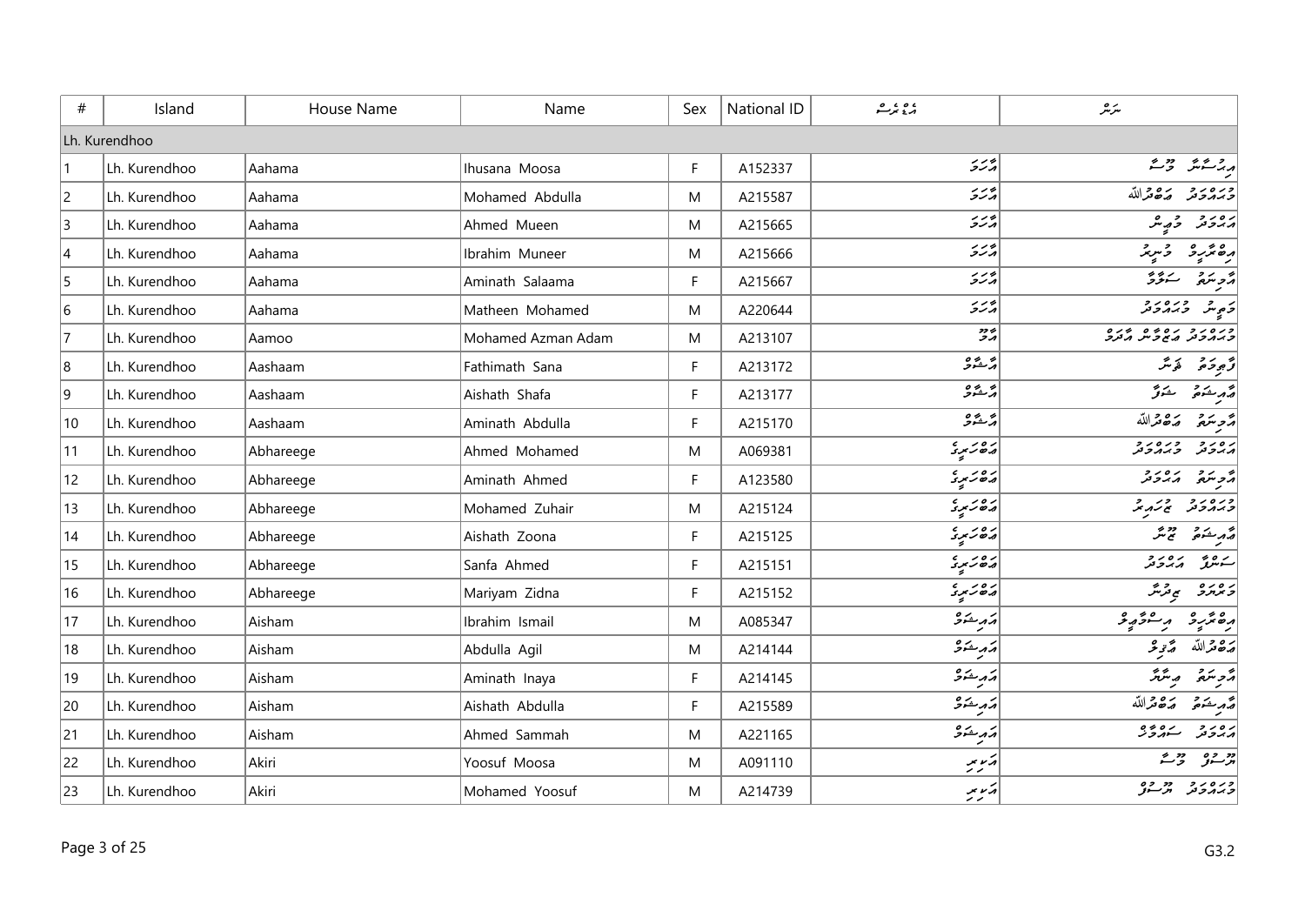| #              | Island        | House Name | Name               | Sex       | National ID | ، ه ، ره<br>مر، مر                         | ىئرىتر                              |
|----------------|---------------|------------|--------------------|-----------|-------------|--------------------------------------------|-------------------------------------|
|                | Lh. Kurendhoo |            |                    |           |             |                                            |                                     |
|                | Lh. Kurendhoo | Aahama     | Ihusana Moosa      | F         | A152337     | پرسر                                       | ەر ئەستىر بىر ئە                    |
| 2              | Lh. Kurendhoo | Aahama     | Mohamed Abdulla    | M         | A215587     | پرسر                                       | ور ە ر د<br>تر پر پر تر<br>صقعرالله |
| $\mathsf{3}$   | Lh. Kurendhoo | Aahama     | Ahmed Mueen        | M         | A215665     | پزر                                        | أرەر دەپر                           |
| 4              | Lh. Kurendhoo | Aahama     | Ibrahim Muneer     | M         | A215666     | پرسر                                       | ە ھەترىر <sup>ە</sup><br>وسربر      |
| 5              | Lh. Kurendhoo | Aahama     | Aminath Salaama    | F         | A215667     | پرسر                                       | $\frac{22}{334}$ $\frac{2}{9}$      |
| $\,$ 6 $\,$    | Lh. Kurendhoo | Aahama     | Matheen Mohamed    | ${\sf M}$ | A220644     | پرسر                                       | أترمي وره رو                        |
| $\overline{7}$ | Lh. Kurendhoo | Aamoo      | Mohamed Azman Adam | ${\sf M}$ | A213107     | ック                                         | כנסגב גם 4ם 4גם<br>בגמבת השכית התב  |
| 8              | Lh. Kurendhoo | Aashaam    | Fathimath Sana     | F         | A213172     | پر دی <sub>د</sub> ه<br>مرشتون             | قهوخو ويمر                          |
| 9              | Lh. Kurendhoo | Aashaam    | Aishath Shafa      | F         | A213177     | پر دی <sub>د</sub> ه<br>مرشتون             | أقهر شدة ومشتركة                    |
| 10             | Lh. Kurendhoo | Aashaam    | Aminath Abdulla    | F         | A215170     | پر دی <sub>د</sub> ه<br>مرشتر <del>ز</del> | أترج متعقر الله                     |
| 11             | Lh. Kurendhoo | Abhareege  | Ahmed Mohamed      | M         | A069381     | ره رسمي<br>پره سرپر                        | و رە ر د<br>تر پروتر<br>پروژو       |
| 12             | Lh. Kurendhoo | Abhareege  | Aminath Ahmed      | F         | A123580     | ره رسمي<br>د ه رسمي                        | أثرم تكثر المراد وراد               |
| 13             | Lh. Kurendhoo | Abhareege  | Mohamed Zuhair     | ${\sf M}$ | A215124     | ره رسمي<br>پره رسمي                        | כנסנכ בלהב                          |
| 14             | Lh. Kurendhoo | Abhareege  | Aishath Zoona      | F         | A215125     | رەر<br>  پەھەسىمەي                         | پھر دیکھیے<br>مصرف سکھی<br>ح مگر    |
| 15             | Lh. Kurendhoo | Abhareege  | Sanfa Ahmed        | F         | A215151     | ره رسمي<br>پره سرپر                        | سەھدى<br>پرورد                      |
| 16             | Lh. Kurendhoo | Abhareege  | Mariyam Zidna      | F         | A215152     | رەر<br>مەھ ئەمىرى                          | د ۱۵ د ۱۵ د کمر                     |
| 17             | Lh. Kurendhoo | Aisham     | Ibrahim Ismail     | M         | A085347     | لهَ مرشوقه                                 | ە ھەترىرى<br>س<br>مەشۇر بۇ          |
| 18             | Lh. Kurendhoo | Aisham     | Abdulla Agil       | M         | A214144     | أتزمر ينذقه                                | <mark>بر صور</mark> الله<br>ەرتى بى |
| 19             | Lh. Kurendhoo | Aisham     | Aminath Inaya      | F         | A214145     | أترمر ينكره                                | ەستىر<br>أزمر بنرد                  |
| 20             | Lh. Kurendhoo | Aisham     | Aishath Abdulla    | F         | A215589     | ړېږ شو                                     | ەھىراللە<br>ړ د شوه                 |
| 21             | Lh. Kurendhoo | Aisham     | Ahmed Sammah       | M         | A221165     | مەرىشەۋ                                    | پرور و<br>سەۋر                      |
| 22             | Lh. Kurendhoo | Akiri      | Yoosuf Moosa       | M         | A091110     | مزبوعيه                                    | دو مح<br>در حره<br>مرسسو            |
| 23             | Lh. Kurendhoo | Akiri      | Mohamed Yoosuf     | M         | A214739     | وزیر سر                                    | כנים בי מדי כם<br>בג'ונפי היי       |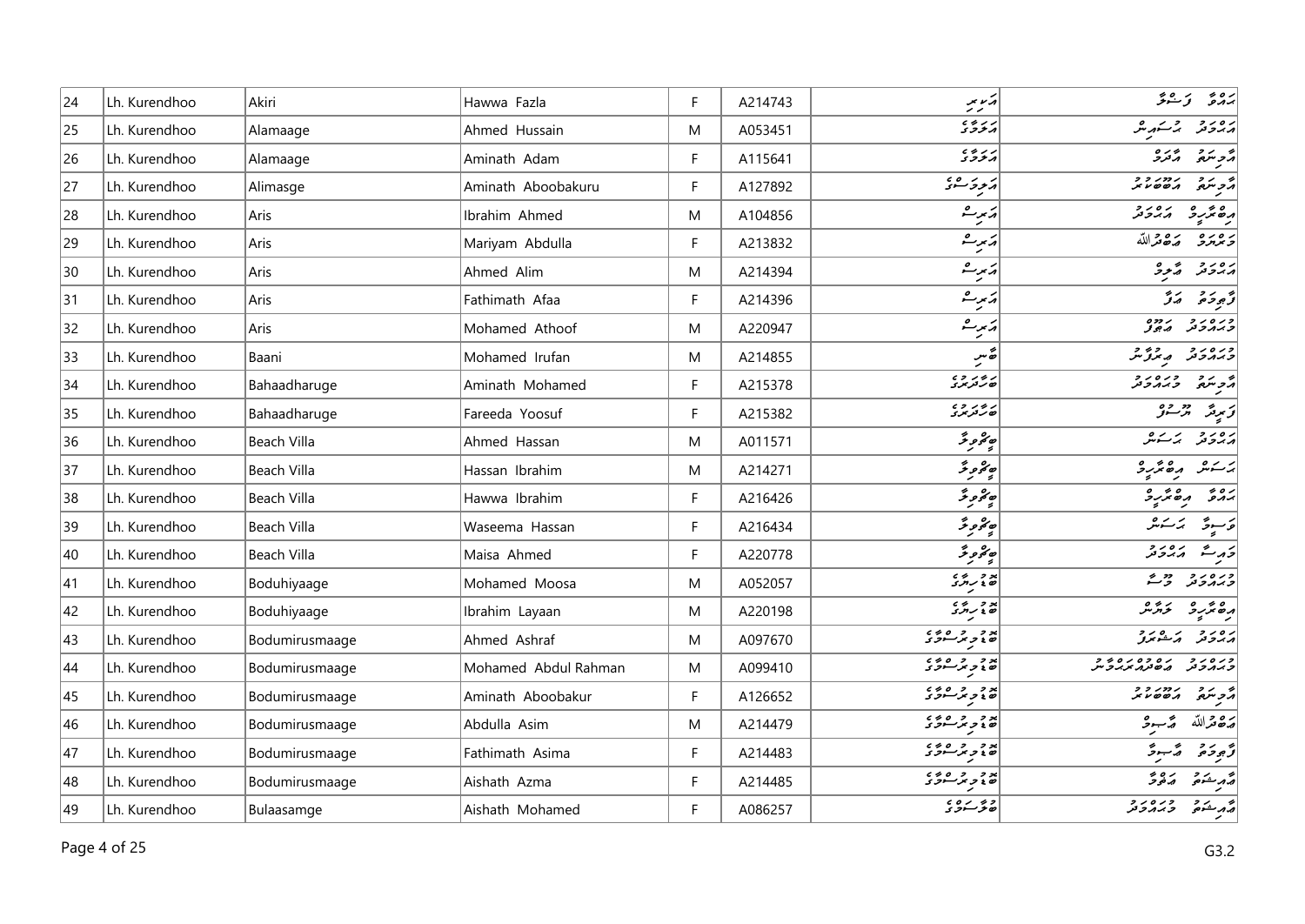| 24 | Lh. Kurendhoo | Akiri              | Hawwa Fazla          | F           | A214743 | وسيسمه                               | برە ئەشىر                                   |
|----|---------------|--------------------|----------------------|-------------|---------|--------------------------------------|---------------------------------------------|
| 25 | Lh. Kurendhoo | Alamaage           | Ahmed Hussain        | M           | A053451 | ر ر » ،<br>پرنوبر                    | رەرو جەكىرىگە                               |
| 26 | Lh. Kurendhoo | Alamaage           | Aminath Adam         | F           | A115641 | ر ر د »<br>پرنوبری                   | أثرجه منزة<br>پور ہ<br>مرتزو                |
| 27 | Lh. Kurendhoo | Alimasge           | Aminath Aboobakuru   | F           | A127892 | لأمرخ سفو                            | 77777<br>أرمز شرد                           |
| 28 | Lh. Kurendhoo | Aris               | Ibrahim Ahmed        | M           | A104856 | وسمرت                                | رە ئرىر ھەرد                                |
| 29 | Lh. Kurendhoo | Aris               | Mariyam Abdulla      | F           | A213832 | وبمبره                               | وبره رودالله                                |
| 30 | Lh. Kurendhoo | Aris               | Ahmed Alim           | M           | A214394 | وبمبره                               | رەرد ئەرە                                   |
| 31 | Lh. Kurendhoo | Aris               | Fathimath Afaa       | F           | A214396 | وبمبره                               | توجوحه الكاثر                               |
| 32 | Lh. Kurendhoo | Aris               | Mohamed Athoof       | ${\sf M}$   | A220947 | وسمرت                                | כנסנכ נחס<br>כממכנג מפצ                     |
| 33 | Lh. Kurendhoo | Baani              | Mohamed Irufan       | M           | A214855 | ڪ سر<br>ح                            | ورەرو ھەجۇش                                 |
| 34 | Lh. Kurendhoo | Bahaadharuge       | Aminath Mohamed      | F           | A215378 | ر بر د د<br>ن ترتربری                | 21012 2124                                  |
| 35 | Lh. Kurendhoo | Bahaadharuge       | Fareeda Yoosuf       | $\mathsf F$ | A215382 | ر بر د د<br>ن ترتربری                | ۇ بېرىتر ھۆردۈ                              |
| 36 | Lh. Kurendhoo | <b>Beach Villa</b> | Ahmed Hassan         | M           | A011571 | <br> حو <sup>ر</sup> گرمرمگر         | رەرد برخش                                   |
| 37 | Lh. Kurendhoo | <b>Beach Villa</b> | Hassan Ibrahim       | M           | A214271 | ە ئۇرۇ.<br>ئ <sup>ە</sup>            |                                             |
| 38 | Lh. Kurendhoo | <b>Beach Villa</b> | Hawwa Ibrahim        | F           | A216426 | ھەمچە بەر<br>ئى                      |                                             |
| 39 | Lh. Kurendhoo | <b>Beach Villa</b> | Waseema Hassan       | $\mathsf F$ | A216434 | ھەمجە ھەقىر<br>ئ <sup>ە</sup>        | كالحاسبانج المركباني                        |
| 40 | Lh. Kurendhoo | <b>Beach Villa</b> | Maisa Ahmed          | F           | A220778 | په محرمو محر                         | أدرب مددور                                  |
| 41 | Lh. Kurendhoo | Boduhiyaage        | Mohamed Moosa        | M           | A052057 | $rac{1}{5}$                          | ورەرو دوغ                                   |
| 42 | Lh. Kurendhoo | Boduhiyaage        | Ibrahim Layaan       | M           | A220198 | پر د پر پر<br>  پی پر بر پر          | رە ئەر ئەئە                                 |
| 43 | Lh. Kurendhoo | Bodumirusmaage     | Ahmed Ashraf         | M           | A097670 | پر د پر مرد د د<br>  ۱۵ د بر سرگرد   | ره رو بر ه رو                               |
| 44 | Lh. Kurendhoo | Bodumirusmaage     | Mohamed Abdul Rahman | M           | A099410 | پر د پر مرد د د<br>  په د بر سرد د   | כנסני נסיפוניים<br>כממכת משתמי <i>ציבית</i> |
| 45 | Lh. Kurendhoo | Bodumirusmaage     | Aminath Aboobakur    | $\mathsf F$ | A126652 | بو د و د ه و و و<br>مو د پرسور       | 77/77/<br>ومحر يتمدح                        |
| 46 | Lh. Kurendhoo | Bodumirusmaage     | Abdulla Asim         | M           | A214479 | بو د په ده وي.<br>مونو پر شوې        | مَصْعَرَاللَّهُ مَرْجُو                     |
| 47 | Lh. Kurendhoo | Bodumirusmaage     | Fathimath Asima      | F.          | A214483 | پر د بره د د د د<br>  په د بر سربر د | توجوجو المبر                                |
| 48 | Lh. Kurendhoo | Bodumirusmaage     | Aishath Azma         | F.          | A214485 | د د پر مرد د د                       | وكرشكو وهاد                                 |
| 49 | Lh. Kurendhoo | Bulaasamge         | Aishath Mohamed      | $\mathsf F$ | A086257 | د و به ده ،<br>حو سکو د              | ه دره دره دره<br><i>م</i> گرشو درگرونر      |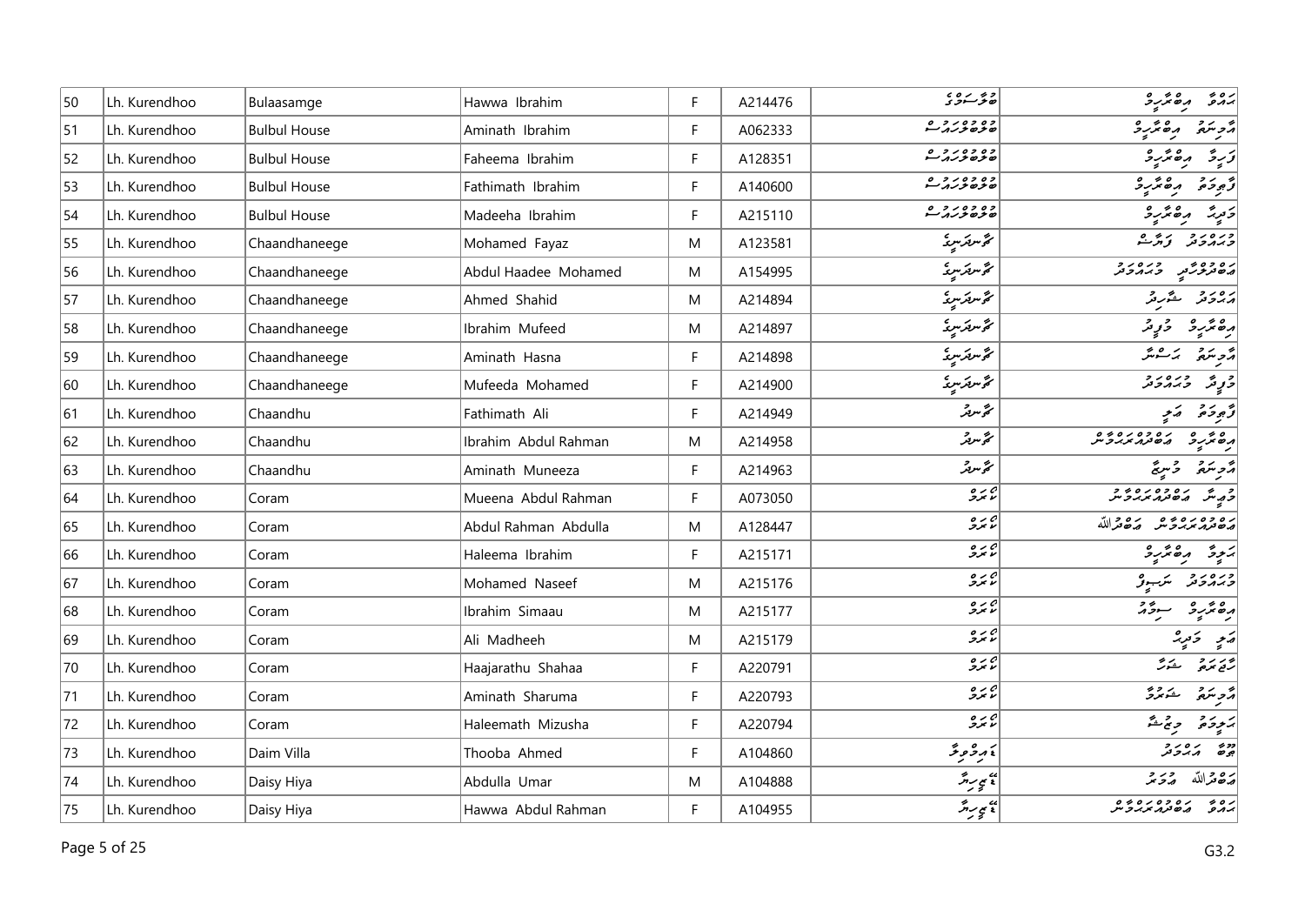| 50 | Lh. Kurendhoo | Bulaasamge          | Hawwa Ibrahim        | F | A214476 | د د بره ،<br>حوکرد د                 | ەھترىرى<br> رەپچ                                              |
|----|---------------|---------------------|----------------------|---|---------|--------------------------------------|---------------------------------------------------------------|
| 51 | Lh. Kurendhoo | <b>Bulbul House</b> | Aminath Ibrahim      | F | A062333 | وه وه ر د ه<br><i>ه نو ه ن</i> رگر   | ەھ ئۆر ۋ<br>أرمز برد                                          |
| 52 | Lh. Kurendhoo | <b>Bulbul House</b> | Faheema Ibrahim      | F | A128351 | وه وه د د و ه<br><i>ه نو ه ن</i> رگر | ۇرپۇ<br>ەھ ئەرب                                               |
| 53 | Lh. Kurendhoo | <b>Bulbul House</b> | Fathimath Ibrahim    | F | A140600 | وه وه ر د م                          | و بر د<br>تر <sub>جو</sub> ر م<br>ە ھەترىر ۋ                  |
| 54 | Lh. Kurendhoo | <b>Bulbul House</b> | Madeeha Ibrahim      | F | A215110 | وه وه د د و ه<br><i>ه محره ش</i> ر   | ځ تورگ<br>ەھ ئۈرۈ                                             |
| 55 | Lh. Kurendhoo | Chaandhaneege       | Mohamed Fayaz        | M | A123581 | كۇسرىر سرچ                           | و ر ه ر و<br><i>و پر</i> پر تر<br>تر پژ شه                    |
| 56 | Lh. Kurendhoo | Chaandhaneege       | Abdul Haadee Mohamed | M | A154995 | كۇسىركىرىدى                          | גם כם מ"כ גם גב<br>גם <i>נקיב הב ה</i> רב נק                  |
| 57 | Lh. Kurendhoo | Chaandhaneege       | Ahmed Shahid         | M | A214894 | مۇسرىئر س <sub>ى</sub> ء             | رەر دېمبر تەرىخ<br>مەروىس ئىش بىر                             |
| 58 | Lh. Kurendhoo | Chaandhaneege       | Ibrahim Mufeed       | M | A214897 | كۇسىرىسى                             | ە ھەترىر <sup>ى</sup><br>رەھىرىرى<br>تر و پی تر               |
| 59 | Lh. Kurendhoo | Chaandhaneege       | Aminath Hasna        | F | A214898 | كۇسىرسرى                             | اړمز شه<br>ىر ئەيگە                                           |
| 60 | Lh. Kurendhoo | Chaandhaneege       | Mufeeda Mohamed      | F | A214900 | ڭۇسىرىسىد                            | ح پ <sub>و</sub> مگر<br>و رە ر د<br><i>د بر</i> گرىز          |
| 61 | Lh. Kurendhoo | Chaandhu            | Fathimath Ali        | F | A214949 | ر.<br>کارسربر                        | ۇ بوخ <sup>ە</sup><br>رځمنو                                   |
| 62 | Lh. Kurendhoo | Chaandhu            | Ibrahim Abdul Rahman | M | A214958 | ر.<br>کارسرتر                        | ر ه و ه ر ه د ه<br>په ه تر پر بر ژ س<br>ە ھەترىر <sup>ە</sup> |
| 63 | Lh. Kurendhoo | Chaandhu            | Aminath Muneeza      | F | A214963 | ر<br>کو سربر                         | أثرمه تنهجر<br>تر سرچ                                         |
| 64 | Lh. Kurendhoo | Coram               | Mueena Abdul Rahman  | F | A073050 | ہ بر ہ<br>مائیر <del>ز</del>         | ر ه وه ر ه د و<br>پره تربر تربر                               |
| 65 | Lh. Kurendhoo | Coram               | Abdul Rahman Abdulla | M | A128447 | ہ بر ہ<br>مائیر <del>ز</del>         | ره وه ره د ه<br>پره تربر تر س<br>صقعرالله                     |
| 66 | Lh. Kurendhoo | Coram               | Haleema Ibrahim      | F | A215171 | ہ بر ہ<br>مائیر <del>ز</del>         | ره نړۍ<br>ره نړۍ<br>برَىپچە                                   |
| 67 | Lh. Kurendhoo | Coram               | Mohamed Naseef       | M | A215176 | لإيره                                | و ر ه ر و<br><i>و پر</i> پر <del>و</del> تر<br>ىئرىب ۋ        |
| 68 | Lh. Kurendhoo | Coram               | Ibrahim Simaau       | M | A215177 | ہ بر ہ<br>مائیر <del>ز</del>         | سەۋە<br>ەرھەترىر <sup>ى</sup>                                 |
| 69 | Lh. Kurendhoo | Coram               | Ali Madheeh          | M | A215179 | لأبره                                | ړې د پره                                                      |
| 70 | Lh. Kurendhoo | Coram               | Haajarathu Shahaa    | F | A220791 | لأبره                                | جەرىر <i>جەنبى</i> گە<br>مەنب <i>ى مەنبەر</i>                 |
| 71 | Lh. Kurendhoo | Coram               | Aminath Sharuma      | F | A220793 | ہ بر ہ<br>ماسمرچ                     | شە ئىرى<br>ړې سره                                             |
| 72 | Lh. Kurendhoo | Coram               | Haleemath Mizusha    | F | A220794 | ہ بر ہ<br>مائیر <del>ز</del>         | أيَدِيرُهُ وَلَجْنَةُ                                         |
| 73 | Lh. Kurendhoo | Daim Villa          | Thooba Ahmed         | F | A104860 | ،<br>مرگه فره                        | מי גפיב<br>פיס הגבת                                           |
| 74 | Lh. Kurendhoo | Daisy Hiya          | Abdulla Umar         | M | A104888 | ې<br>ناسې سر مر                      | ەھىراللە<br>و ر د<br>در تر                                    |
| 75 | Lh. Kurendhoo | Daisy Hiya          | Hawwa Abdul Rahman   | F | A104955 | } سي سر پر<br>                       | ر ه پ<br>بر د گ<br>ر ه و ه ر ه د ه<br>پره تر بر بر تر س       |
|    |               |                     |                      |   |         |                                      |                                                               |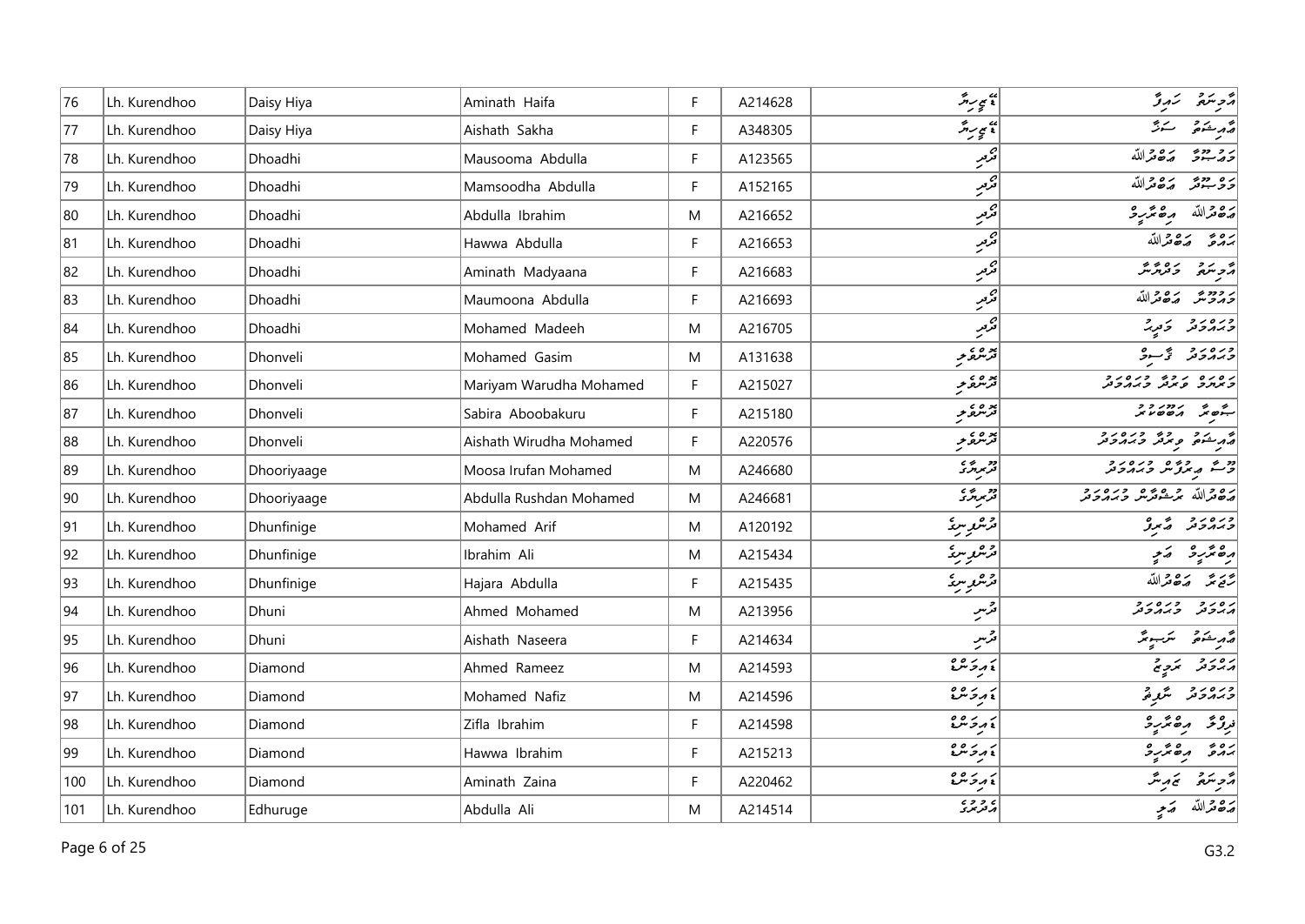| 76  | Lh. Kurendhoo | Daisy Hiya   | Aminath Haifa           | F         | A214628 | ن<br>كې محور مرگز    | أثر حريج<br>تربر بخ                                                                                  |
|-----|---------------|--------------|-------------------------|-----------|---------|----------------------|------------------------------------------------------------------------------------------------------|
| 77  | Lh. Kurendhoo | Daisy Hiya   | Aishath Sakha           | F         | A348305 | اء<br>محموسر پر      | ۇرىشكە ئىڭ                                                                                           |
| 78  | Lh. Kurendhoo | Dhoadhi      | Mausooma Abdulla        | F         | A123565 | ە<br>تىرىر           | ر و دور<br>وړ سون<br>برە تراللە                                                                      |
| 79  | Lh. Kurendhoo | Dhoadhi      | Mamsoodha Abdulla       | F         | A152165 | ارجمير               | ره دوم روورالله                                                                                      |
| 80  | Lh. Kurendhoo | Dhoadhi      | Abdulla Ibrahim         | M         | A216652 | اقدمر                | ەھ ترىرى<br>ەھەراللە                                                                                 |
| 81  | Lh. Kurendhoo | Dhoadhi      | Hawwa Abdulla           | F         | A216653 | لقمعر                | بروء روورالله                                                                                        |
| 82  | Lh. Kurendhoo | Dhoadhi      | Aminath Madyaana        | F         | A216683 | لقنبير               | أأدجر والمحمد والمراجل                                                                               |
| 83  | Lh. Kurendhoo | Dhoadhi      | Maumoona Abdulla        | F         | A216693 | اچھ<br>س             | برودوم ره والله                                                                                      |
| 84  | Lh. Kurendhoo | Dhoadhi      | Mohamed Madeeh          | M         | A216705 | حرمر                 | ورەر د پر د                                                                                          |
| 85  | Lh. Kurendhoo | Dhonveli     | Mohamed Gasim           | M         | A131638 | بره ۽<br>قرمگرمو     | ورەرو ئۆسۈ                                                                                           |
| 86  | Lh. Kurendhoo | Dhonveli     | Mariyam Warudha Mohamed | F         | A215027 | ترىرى<br>تىرىشرى م   | ג סגם גבל בגם בב<br><mark>ק</mark> ינו <i>נים פינו</i> ל פינונפינ                                    |
| 87  | Lh. Kurendhoo | Dhonveli     | Sabira Aboobakuru       | F         | A215180 | مرعره مر             | 77/2001<br>سەھ ئىر                                                                                   |
| 88  | Lh. Kurendhoo | Dhonveli     | Aishath Wirudha Mohamed | F         | A220576 | لترعرعرمه            | م الله عن المعلم المعدد المحمد المحمد المحمد المحمد المحمد المحمد المحمد المحمد المحمد المحمد المحمد |
| 89  | Lh. Kurendhoo | Dhooriyaage  | Moosa Irufan Mohamed    | M         | A246680 | ود<br>قرمروگری       | מ י גישים בגם בב<br>כ- היינית בגבבת                                                                  |
| 90  | Lh. Kurendhoo | Dhooriyaage  | Abdulla Rushdan Mohamed | M         | A246681 | ود<br>قرمروگری       | رەداللە برخوش درەرد                                                                                  |
| 91  | Lh. Kurendhoo | Dhunfinige   | Mohamed Arif            | M         | A120192 | قرشو بىر             | ورور و محموقه                                                                                        |
| 92  | Lh. Kurendhoo | Dhunfinige   | Ibrahim Ali             | ${\sf M}$ | A215434 | قرىثرو بىرگە         | رە ئۆر ئەير                                                                                          |
| 93  | Lh. Kurendhoo | Dhunfinige   | Hajara Abdulla          | F         | A215435 | قرشرو سرءُ           | محتفظ مكافية                                                                                         |
| 94  | Lh. Kurendhoo | <b>Dhuni</b> | Ahmed Mohamed           | M         | A213956 | قرسر                 | ג סגב בג סגב<br>גגבע בגגבע                                                                           |
| 95  | Lh. Kurendhoo | Dhuni        | Aishath Naseera         | F         | A214634 | و<br>ترسر            | لأربضكم الكرسولا                                                                                     |
| 96  | Lh. Kurendhoo | Diamond      | Ahmed Rameez            | M         | A214593 | 2221                 | رەرو پەر                                                                                             |
| 97  | Lh. Kurendhoo | Diamond      | Mohamed Nafiz           | M         | A214596 | ئەرىرى<br>ئ          | سگوپۇ<br>و ر ه ر د<br>تر پر تر تر                                                                    |
| 98  | Lh. Kurendhoo | Diamond      | Zifla Ibrahim           | F         | A214598 | $\frac{1}{2}$        | نرو و میگرد                                                                                          |
| 99  | Lh. Kurendhoo | Diamond      | Hawwa Ibrahim           | F         | A215213 | $\frac{1}{2}$        |                                                                                                      |
| 100 | Lh. Kurendhoo | Diamond      | Aminath Zaina           | F         | A220462 | ۍ مرځ مثرو<br>د      | ىئەرىتىر<br>أزدبتهم                                                                                  |
| 101 | Lh. Kurendhoo | Edhuruge     | Abdulla Ali             | ${\sf M}$ | A214514 | ړ و و ړ<br>پر تو پور | برە دالله كمبر                                                                                       |
|     |               |              |                         |           |         |                      |                                                                                                      |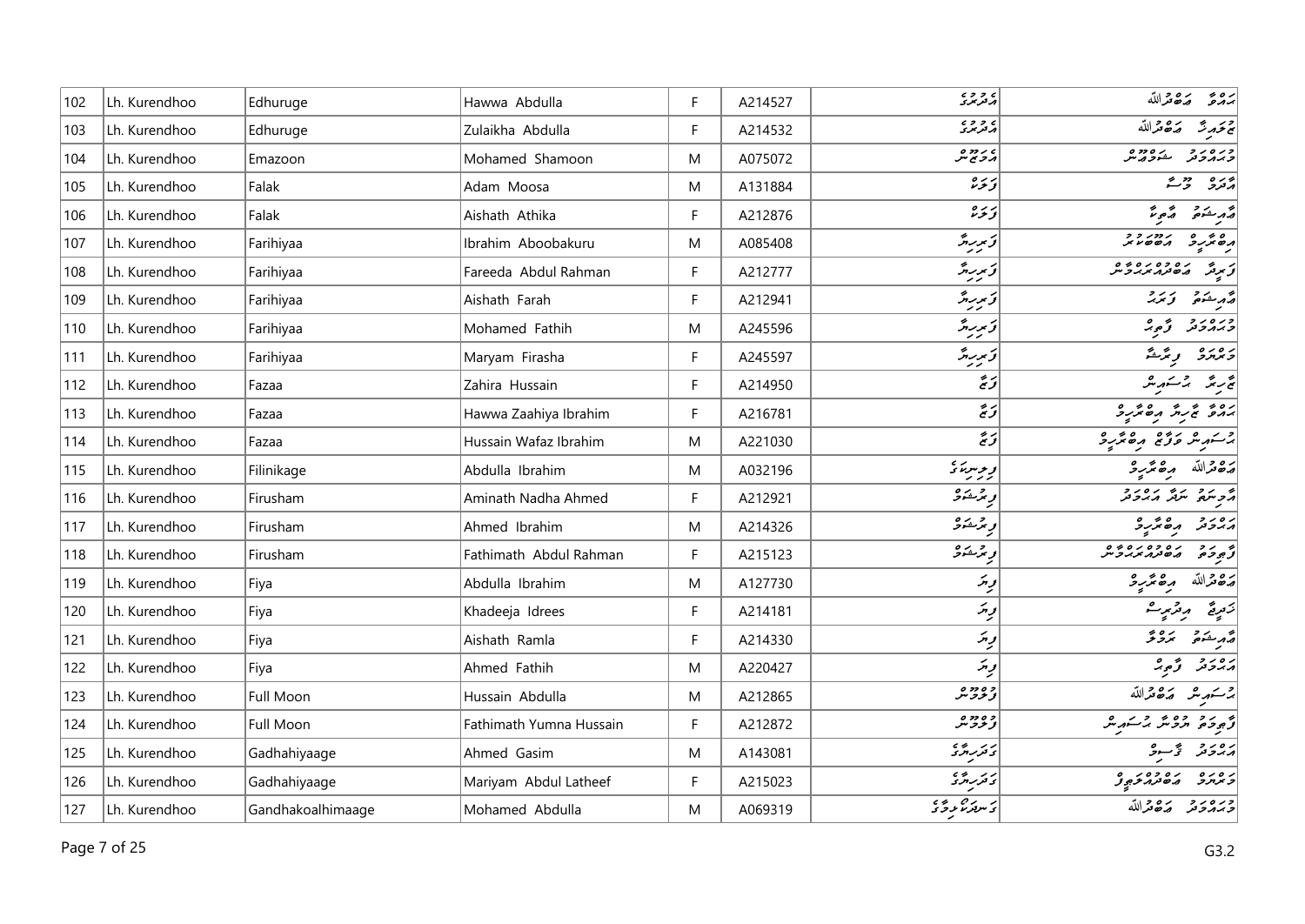| 102 | Lh. Kurendhoo | Edhuruge          | Hawwa Abdulla           | F         | A214527 | پر ج و پر<br>  پر تعربی                  | بروء رووالله                                                                                                                                                                                                                       |
|-----|---------------|-------------------|-------------------------|-----------|---------|------------------------------------------|------------------------------------------------------------------------------------------------------------------------------------------------------------------------------------------------------------------------------------|
| 103 | Lh. Kurendhoo | Edhuruge          | Zulaikha Abdulla        | F         | A214532 | ے و و ۽<br>مرکزي                         | صقصرالله<br>تح مَحَرَمَدٌ ج                                                                                                                                                                                                        |
| 104 | Lh. Kurendhoo | Emazoon           | Mohamed Shamoon         | M         | A075072 | ې پر دو ه<br>در د س                      | شەھ جو ھ<br>و ر ه ر و<br><i>و پر</i> و تر                                                                                                                                                                                          |
| 105 | Lh. Kurendhoo | Falak             | Adam Moosa              | M         | A131884 | ۇ ئە                                     | پر و دور                                                                                                                                                                                                                           |
| 106 | Lh. Kurendhoo | Falak             | Aishath Athika          | F         | A212876 | ۇئە                                      | رحمى مد<br>پ <sup>و</sup> مرشوم <sup>9</sup>                                                                                                                                                                                       |
| 107 | Lh. Kurendhoo | Farihiyaa         | Ibrahim Aboobakuru      | M         | A085408 | اؤىرىدۇ.<br>——                           |                                                                                                                                                                                                                                    |
| 108 | Lh. Kurendhoo | Farihiyaa         | Fareeda Abdul Rahman    | F         | A212777 |                                          | د ده ده ده ده ده م                                                                                                                                                                                                                 |
| 109 | Lh. Kurendhoo | Farihiyaa         | Aishath Farah           | F         | A212941 | ۇ بىرىرىتر<br>مەس                        | أوكر وأردد                                                                                                                                                                                                                         |
| 110 | Lh. Kurendhoo | Farihiyaa         | Mohamed Fathih          | M         | A245596 | ۇ بىرىدىگە<br>مەم                        | ورەرد ئەر                                                                                                                                                                                                                          |
| 111 | Lh. Kurendhoo | Farihiyaa         | Maryam Firasha          | F         | A245597 | ۇ ئىرىرى <i>د</i> ىگە                    | وءرو ويمثّ                                                                                                                                                                                                                         |
| 112 | Lh. Kurendhoo | Fazaa             | Zahira Hussain          | F         | A214950 | تریخ                                     | ې پرېژ بر شور شر                                                                                                                                                                                                                   |
| 113 | Lh. Kurendhoo | Fazaa             | Hawwa Zaahiya Ibrahim   | F         | A216781 | ترتج                                     | גוב הוא הסתיב                                                                                                                                                                                                                      |
| 114 | Lh. Kurendhoo | Fazaa             | Hussain Wafaz Ibrahim   | M         | A221030 | أقرنج                                    | بر سرمر وژبج و مندو                                                                                                                                                                                                                |
| 115 | Lh. Kurendhoo | Filinikage        | Abdulla Ibrahim         | ${\sf M}$ | A032196 | او ومبررة <sup>2</sup>                   | رەقماللە مەھمىيە                                                                                                                                                                                                                   |
| 116 | Lh. Kurendhoo | Firusham          | Aminath Nadha Ahmed     | F         | A212921 | رېږېده                                   | أأرجم المتعجم المراد والمراد                                                                                                                                                                                                       |
| 117 | Lh. Kurendhoo | Firusham          | Ahmed Ibrahim           | M         | A214326 | رېږېده                                   | גפני הסתני                                                                                                                                                                                                                         |
| 118 | Lh. Kurendhoo | Firusham          | Fathimath Abdul Rahman  | F         | A215123 | اوپر شده                                 | و د د ده ده ده ده م                                                                                                                                                                                                                |
| 119 | Lh. Kurendhoo | Fiya              | Abdulla Ibrahim         | M         | A127730 | ويز                                      | ەھىراللە<br>ەرھ ئۆر ۋ                                                                                                                                                                                                              |
| 120 | Lh. Kurendhoo | Fiya              | Khadeeja Idrees         | F         | A214181 | ويز                                      | تزمريق ويقرموه                                                                                                                                                                                                                     |
| 121 | Lh. Kurendhoo | Fiya              | Aishath Ramla           | F         | A214330 | وپڑ                                      | و در ده در در در در در شور شور در شور در شور در شور در شور در شور در این در در شور در این در در این در این در<br>موالید در سور در این در سور در سور در سور در سور در سور در سور در سور در سور در سور در سور در سور در در دارای<br> |
| 122 | Lh. Kurendhoo | Fiya              | Ahmed Fathih            | M         | A220427 | ويتر                                     | رەرد ۋەپ                                                                                                                                                                                                                           |
| 123 | Lh. Kurendhoo | Full Moon         | Hussain Abdulla         | M         | A212865 | و ه دو ه<br>تو نو چانگر                  | برسكربر وكاله الله                                                                                                                                                                                                                 |
| 124 | Lh. Kurendhoo | Full Moon         | Fathimath Yumna Hussain | F         | A212872 | و ه دو ه<br><b>ز</b> عرب                 | توجد حدوث بالمسر                                                                                                                                                                                                                   |
| 125 | Lh. Kurendhoo | Gadhahiyaage      | Ahmed Gasim             | M         | A143081 | ر در پر پر<br>د تر پر پر د               | رەرو ۋىرو                                                                                                                                                                                                                          |
| 126 | Lh. Kurendhoo | Gadhahiyaage      | Mariyam Abdul Latheef   | F         | A215023 | ئەتىر بەرگە                              | <b>ג סגם גם כם גם</b><br><i>באחר ב</i> שנות <i>ב</i> פל                                                                                                                                                                            |
| 127 | Lh. Kurendhoo | Gandhakoalhimaage | Mohamed Abdulla         | M         | A069319 | ر سور به در در در بار<br>د سور با مورد د | وره رو ده دالله                                                                                                                                                                                                                    |
|     |               |                   |                         |           |         |                                          |                                                                                                                                                                                                                                    |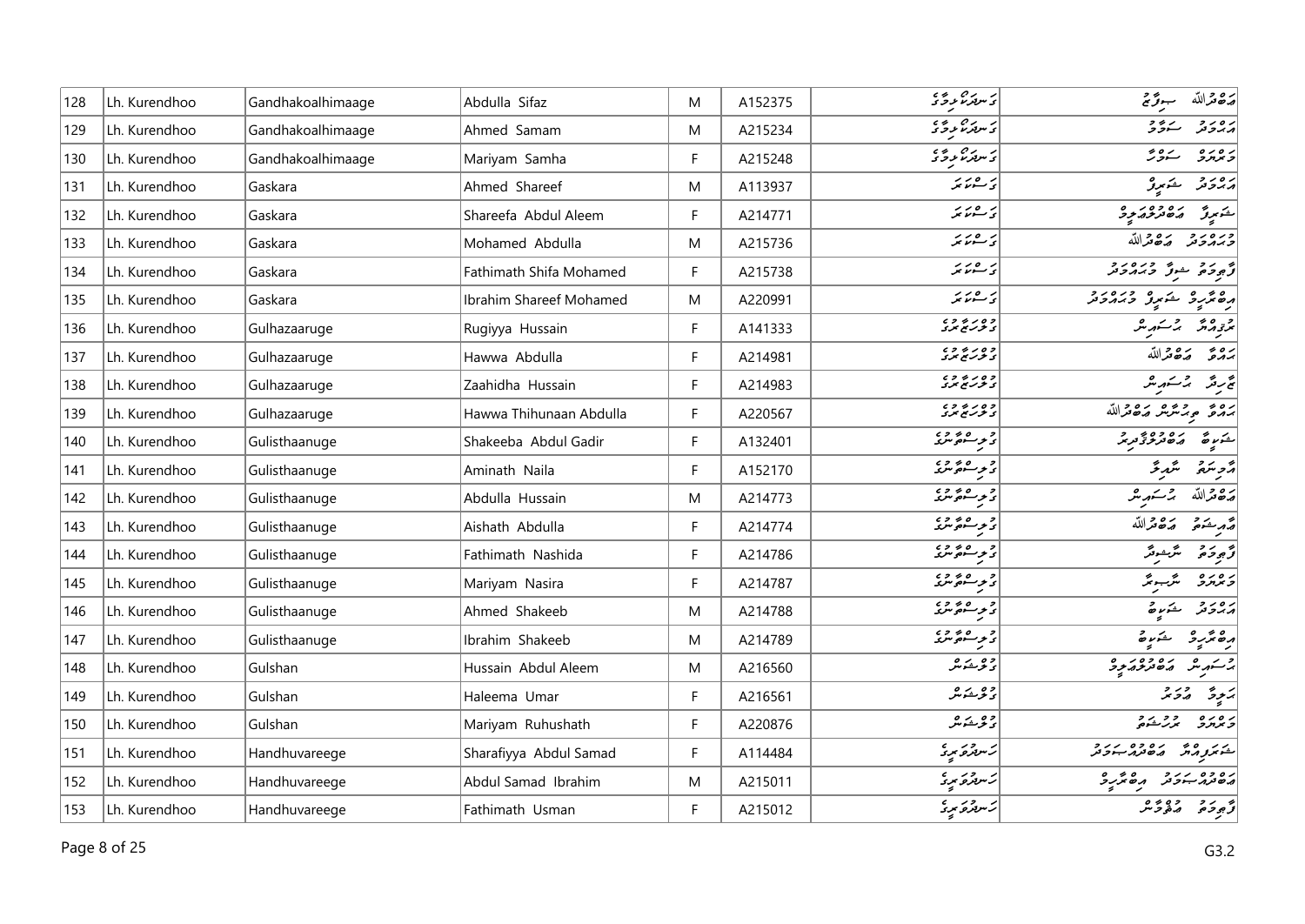| 128 | Lh. Kurendhoo | Gandhakoalhimaage | Abdulla Sifaz           | M         | A152375 | ئەسەرتىم بوڭرى                             | برە قراللە<br>سىدۇنج            |
|-----|---------------|-------------------|-------------------------|-----------|---------|--------------------------------------------|---------------------------------|
| 129 | Lh. Kurendhoo | Gandhakoalhimaage | Ahmed Samam             | M         | A215234 | ر سرچ دي.<br>د سرچرع مورځ د                | ر ه ر د<br>م.رو تر              |
| 130 | Lh. Kurendhoo | Gandhakoalhimaaqe | Mariyam Samha           | F         | A215248 | <br>  ئەستىرىئا ئىرىگە ئ                   | ئەتەر ۋ<br>سەۋر                 |
| 131 | Lh. Kurendhoo | Gaskara           | Ahmed Shareef           | M         | A113937 | ر ۱۳۷۵ تن                                  | دەر د شەرۋ                      |
| 132 | Lh. Kurendhoo | Gaskara           | Shareefa Abdul Aleem    | F         | A214771 | ى سەندىكە                                  | أشرير ما معتز ما مور            |
| 133 | Lh. Kurendhoo | Gaskara           | Mohamed Abdulla         | M         | A215736 | ى شەندىنە                                  | وره رو ده دالله                 |
| 134 | Lh. Kurendhoo | Gaskara           | Fathimath Shifa Mohamed | F         | A215738 | ىر ھەئەبجە                                 | و و د و مسرو در و د و           |
| 135 | Lh. Kurendhoo | Gaskara           | Ibrahim Shareef Mohamed | ${\sf M}$ | A220991 | ىر ھەئەبجە                                 | مەھەر ئەخسى دىمەدد              |
| 136 | Lh. Kurendhoo | Gulhazaaruge      | Rugiyya Hussain         | F         | A141333 | و ه د ر بر و ،<br>د نورنځ بود              | مرتوم محر مستور مثر             |
| 137 | Lh. Kurendhoo | Gulhazaaruge      | Hawwa Abdulla           | F         | A214981 | و ہ مربر و ،<br>ى محرم تی بىرى             | بروء رووالله                    |
| 138 | Lh. Kurendhoo | Gulhazaaruge      | Zaahidha Hussain        | F         | A214983 | و ه ر پر و ،<br>د نژرنځ برو                | ىم بەش بەر ئىسكەر بىر           |
| 139 | Lh. Kurendhoo | Gulhazaaruge      | Hawwa Thihunaan Abdulla | F         | A220567 | و ه ر پ <sub>ه</sub> و ،<br>  د نور پخ بود | بره و و حرم ره دالله            |
| 140 | Lh. Kurendhoo | Gulisthaanuge     | Shakeeba Abdul Gadir    | F         | A132401 | د په همو <sup>د پ</sup>                    | شر به مصر ده در د               |
| 141 | Lh. Kurendhoo | Gulisthaanuge     | Aminath Naila           | F         | A152170 | د پر ۱۳۹۵ وي<br>  د پر ۱۳۹۴ مرد            | ړې سرو شمه د                    |
| 142 | Lh. Kurendhoo | Gulisthaanuge     | Abdulla Hussain         | ${\sf M}$ | A214773 | <sub>جە م</sub> ەھەتتى<br>                 | مەھىراللە جەمئەر                |
| 143 | Lh. Kurendhoo | Gulisthaanuge     | Aishath Abdulla         | F         | A214774 | <sub>جە م</sub> ەھەتتە                     | مُ مشمر مَصْعَر اللّه           |
| 144 | Lh. Kurendhoo | Gulisthaanuge     | Fathimath Nashida       | F         | A214786 | دې مره ژوي                                 | أوالمج وكالمحافظ والمحر وتكر    |
| 145 | Lh. Kurendhoo | Gulisthaanuge     | Mariyam Nasira          | F         | A214787 | د په ده و د و د                            | ر ه بر ه<br>د بربرگ<br>مترسه تر |
| 146 | Lh. Kurendhoo | Gulisthaanuge     | Ahmed Shakeeb           | M         | A214788 | د وره ژويد                                 | رەرد خىرە                       |
| 147 | Lh. Kurendhoo | Gulisthaanuge     | Ibrahim Shakeeb         | ${\sf M}$ | A214789 | د په موسوم د د م<br>  د په موسوم           | مەھرىر ئىبرە                    |
| 148 | Lh. Kurendhoo | Gulshan           | Hussain Abdul Aleem     | M         | A216560 | د وي ش <sub>ک</sub> ر ه                    |                                 |
| 149 | Lh. Kurendhoo | Gulshan           | Haleema Umar            | F         | A216561 | 3 مۇشەھر                                   | يە ئەرىر                        |
| 150 | Lh. Kurendhoo | Gulshan           | Mariyam Ruhushath       | F         | A220876 | <sup>3</sup> وھ شەھر                       | رەرە دوردو                      |
| 151 | Lh. Kurendhoo | Handhuvareege     | Sharafiyya Abdul Samad  | F         | A114484 | ئەس <i>بەدە</i> بېرى                       | ر در ۵۶۵ میلاد و ۲۰۰ و در د     |
| 152 | Lh. Kurendhoo | Handhuvareege     | Abdul Samad Ibrahim     | M         | A215011 | ئەسەرىم سرىم                               |                                 |
| 153 | Lh. Kurendhoo | Handhuvareege     | Fathimath Usman         | F         | A215012 | ئەس <i>ەقرى</i> ئىرىگى                     | قه د ده وه ده ش                 |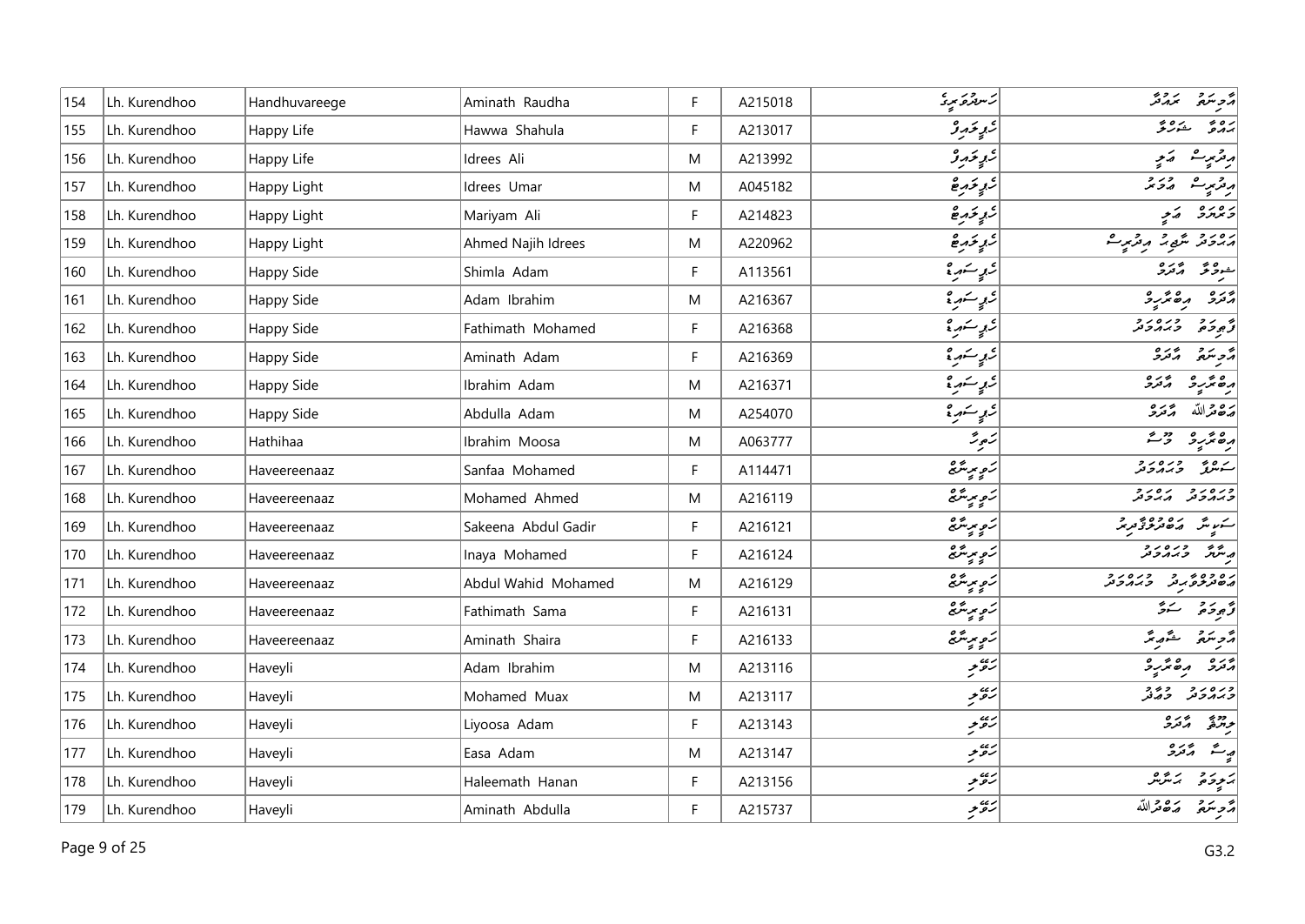| 154 | Lh. Kurendhoo | Handhuvareege     | Aminath Raudha      | F  | A215018 | ئەسە <i>تى كى</i> رى                     | برحرتمر<br>أزحر سكرد                                |
|-----|---------------|-------------------|---------------------|----|---------|------------------------------------------|-----------------------------------------------------|
| 155 | Lh. Kurendhoo | Happy Life        | Hawwa Shahula       | F. | A213017 | ر<br>ر <sub>نجو</sub> خ <sub>رمر</sub> و | برەپچ<br>شەرىتى                                     |
| 156 | Lh. Kurendhoo | Happy Life        | Idrees Ali          | M  | A213992 | ر بو <sub>ت</sub> و بر و<br>م            | ورمي کي                                             |
| 157 | Lh. Kurendhoo | Happy Light       | Idrees Umar         | M  | A045182 | ې بو ځه د ه<br>س                         | و ر و<br>در تر<br>ەر قرىبە <sup>ھ</sup>             |
| 158 | Lh. Kurendhoo | Happy Light       | Mariyam Ali         | F  | A214823 | ر<br>مربح مرضي<br>مربح                   | ده ده کم                                            |
| 159 | Lh. Kurendhoo | Happy Light       | Ahmed Najih Idrees  | M  | A220962 | تجويخهرهج                                | ړه د ته ش په مرتز پر ش                              |
| 160 | Lh. Kurendhoo | <b>Happy Side</b> | Shimla Adam         | F  | A113561 | ج پوسٹور ہ <sup>ہ</sup><br>              | خوڅرنځی او ډکري                                     |
| 161 | Lh. Kurendhoo | <b>Happy Side</b> | Adam Ibrahim        | M  | A216367 | ى<br>بەر سىردى                           | أرمزه المتحكم والمحمد                               |
| 162 | Lh. Kurendhoo | <b>Happy Side</b> | Fathimath Mohamed   | F  | A216368 | ر<br>مرب <sub>و</sub> سکور ؟             | و ر ه ر د<br>تر پر ژ تر<br>و مر د<br>ترموخ <i>ه</i> |
| 163 | Lh. Kurendhoo | <b>Happy Side</b> | Aminath Adam        | F  | A216369 | ر<br>مرب <sub>ع</sub> سنهر ؟             | أثربر مردح<br>پور ہ<br>مرکزو                        |
| 164 | Lh. Kurendhoo | <b>Happy Side</b> | Ibrahim Adam        | M  | A216371 | ر<br>مربو سے م <b>ر</b> ؟                | ېر چې پېر د<br>ر<br>پور ہ<br>مرکزو                  |
| 165 | Lh. Kurendhoo | <b>Happy Side</b> | Abdulla Adam        | M  | A254070 | ې په په مسره په د                        | ەھىراللە<br>پر ہ<br>مرکز ژ                          |
| 166 | Lh. Kurendhoo | Hathihaa          | Ibrahim Moosa       | M  | A063777 | ئەموش                                    | ەر ھەترىر <i>3</i>                                  |
| 167 | Lh. Kurendhoo | Haveereenaaz      | Sanfaa Mohamed      | F  | A114471 | ر<br>ئەربىر ئىر                          | سەھەيىتى<br>و رە ر د<br><i>د بە</i> د تر            |
| 168 | Lh. Kurendhoo | Haveereenaaz      | Mohamed Ahmed       | M  | A216119 | لىمو بىرىنىچ                             | כנסנכ נסנכ<br>כגמכ <mark>ט ה</mark> גכ <b>ט</b>     |
| 169 | Lh. Kurendhoo | Haveereenaaz      | Sakeena Abdul Gadir | F  | A216121 | ئەھ بىر يېزى<br> - ئەھمىر يېزى           |                                                     |
| 170 | Lh. Kurendhoo | Haveereenaaz      | Inaya Mohamed       | F  | A216124 | ائەمەيدىنى<br>كەنبە                      | وشرح وره دو                                         |
| 171 | Lh. Kurendhoo | Haveereenaaz      | Abdul Wahid Mohamed | M  | A216129 | ر<br>ئەربىر ئىر                          | ן 2000 - 2000 ביטר.<br>הסתיקת המרכת                 |
| 172 | Lh. Kurendhoo | Haveereenaaz      | Fathimath Sama      | F. | A216131 | ائەمەيتىقى                               | ۇۋۇۋە سۇ                                            |
| 173 | Lh. Kurendhoo | Haveereenaaz      | Aminath Shaira      | F  | A216133 | ر<br>ئە <sub>ۋ</sub> بىرىترى             | أروسي<br>شتەھ تىر                                   |
| 174 | Lh. Kurendhoo | Haveyli           | Adam Ibrahim        | M  | A213116 | رەيە                                     | وره ده تررد                                         |
| 175 | Lh. Kurendhoo | Haveyli           | Mohamed Muax        | M  | A213117 | ريمو                                     | و به و<br>تر چرنو<br>و ر ه ر د<br>تر پر ژ تر        |
| 176 | Lh. Kurendhoo | Haveyli           | Liyoosa Adam        | F  | A213143 | رەيە<br>رەبىر                            | پھوڑ<br>مرکو<br>ا و در پچ<br>ا                      |
| 177 | Lh. Kurendhoo | Haveyli           | Easa Adam           | M  | A213147 | ريمو                                     | ار مشتر<br>تو<br>پور ہ<br>مرکزو                     |
| 178 | Lh. Kurendhoo | Haveyli           | Haleemath Hanan     | F  | A213156 | رەيە<br>رەبىر                            | ر په پر د                                           |
| 179 | Lh. Kurendhoo | Haveyli           | Aminath Abdulla     | F  | A215737 | ريمو                                     | مُّحسَنَ مَصْغَّرَاللَّهُ                           |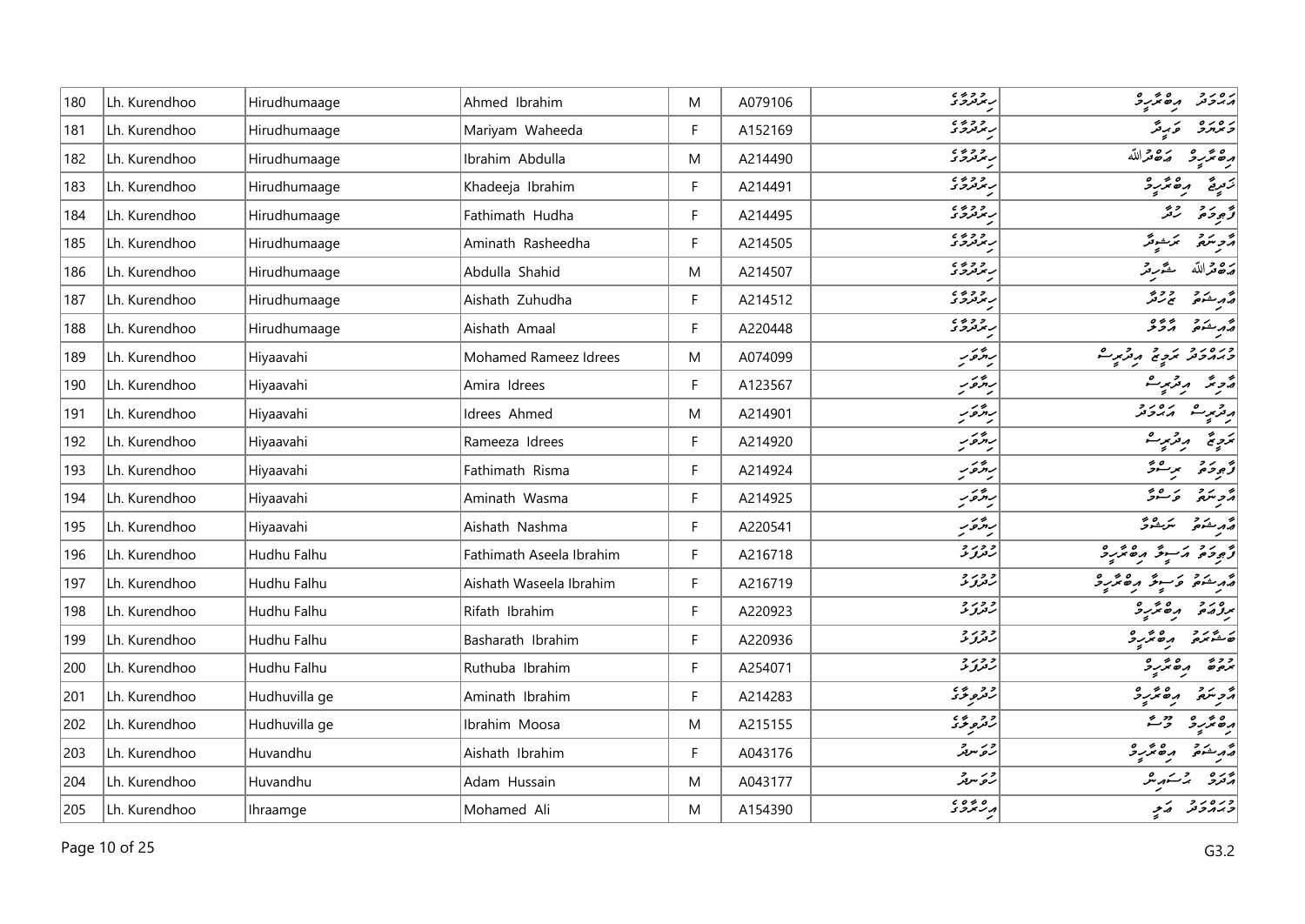| 180 | Lh. Kurendhoo | Hirudhumaage  | Ahmed Ibrahim            | M  | A079106 | ر و و د د<br>ب بوترو د             | برە ئۆرۈ<br>بروئر تر               |
|-----|---------------|---------------|--------------------------|----|---------|------------------------------------|------------------------------------|
| 181 | Lh. Kurendhoo | Hirudhumaage  | Mariyam Waheeda          | F. | A152169 | ا ر و و و و<br>ا ر برترو د         | ر ه بر ه<br>تر بر بر<br>ءَ ٻه ت    |
| 182 | Lh. Kurendhoo | Hirudhumaage  | Ibrahim Abdulla          | M  | A214490 | ر 1997ء<br>پر پوروگر               | وكافرالله<br>ە ھېڭرىر<br>رەمگرىرى  |
| 183 | Lh. Kurendhoo | Hirudhumaage  | Khadeeja Ibrahim         | F  | A214491 | ر و و د د<br>ب بوتور و د           | رَ ورِجَّ<br>مُصرِيَّة<br>مەھترىرى |
| 184 | Lh. Kurendhoo | Hirudhumaage  | Fathimath Hudha          | F  | A214495 | ارپروژه                            | توجوختم<br>رژ                      |
| 185 | Lh. Kurendhoo | Hirudhumaage  | Aminath Rasheedha        | F  | A214505 | ر و و و ء<br>ر برترو ی             | أأرد المتحر المتحر أنستر وكر       |
| 186 | Lh. Kurendhoo | Hirudhumaage  | Abdulla Shahid           | M  | A214507 | ر و و و ء<br>ر برترو د             | ەھىراللە<br>ستەرىر                 |
| 187 | Lh. Kurendhoo | Hirudhumaage  | Aishath Zuhudha          | F  | A214512 |                                    | ح د شور دور د                      |
| 188 | Lh. Kurendhoo | Hirudhumaage  | Aishath Amaal            | F. | A220448 |                                    | و المستحق المركز                   |
| 189 | Lh. Kurendhoo | Hiyaavahi     | Mohamed Rameez Idrees    | M  | A074099 | رېژوَرِ                            | ورەرو تروغ مورىرے                  |
| 190 | Lh. Kurendhoo | Hiyaavahi     | Amira Idrees             | F  | A123567 | ىرەتزەكەر                          | ۇ ئوبۇ بەر ئىرىك                   |
| 191 | Lh. Kurendhoo | Hiyaavahi     | Idrees Ahmed             | M  | A214901 | رېژوَر                             | وقربر أرورة                        |
| 192 | Lh. Kurendhoo | Hiyaavahi     | Rameeza Idrees           | F  | A214920 | رېژوَر                             | برَدِيَّ مِنْ بِرِ                 |
| 193 | Lh. Kurendhoo | Hiyaavahi     | Fathimath Risma          | F  | A214924 | رېژۀ ر                             | ۇپروڭ برىشۇ                        |
| 194 | Lh. Kurendhoo | Hiyaavahi     | Aminath Wasma            | F  | A214925 | رېژوَرِ                            | أأدح مكره وكالمساوح                |
| 195 | Lh. Kurendhoo | Hiyaavahi     | Aishath Nashma           | F. | A220541 | رېژوَر                             | دُ مِنْدَمْ سَرَشْرَدُّ            |
| 196 | Lh. Kurendhoo | Hudhu Falhu   | Fathimath Aseela Ibrahim | F  | A216718 | 2 ترتر 2                           | ۋە ئەڭ مەسىر ئەھەر بە              |
| 197 | Lh. Kurendhoo | Hudhu Falhu   | Aishath Waseela Ibrahim  | F. | A216719 | و ور و<br>رقرقر                    | ړٌم شوه و سرد مره ټررو             |
| 198 | Lh. Kurendhoo | Hudhu Falhu   | Rifath Ibrahim           | F  | A220923 | و ور و<br>رقرو ک                   | ە ھەترىر ۋ<br>بر و در د            |
| 199 | Lh. Kurendhoo | Hudhu Falhu   | Basharath Ibrahim        | F  | A220936 | و ور و<br>رقرو ک                   | ەھ ئۈرۈ<br>ر<br>ت <i>ه شه بر د</i> |
| 200 | Lh. Kurendhoo | Hudhu Falhu   | Ruthuba Ibrahim          | F  | A254071 | و ور و<br>ر <sub>فر</sub> و ر      | دە ئەرچ<br>و و پر<br>مره گ         |
| 201 | Lh. Kurendhoo | Hudhuvilla ge | Aminath Ibrahim          | F  | A214283 | د د د په<br>رتر <sub>و څر</sub>    | دە ئۆرۈ<br>أرمز تر                 |
| 202 | Lh. Kurendhoo | Hudhuvilla ge | Ibrahim Moosa            | M  | A215155 | د د په په<br>رتر <sub>ج م</sub> ور | درميم<br>ە ھېڭرىر<br>بر ھېڭرىرى    |
| 203 | Lh. Kurendhoo | Huvandhu      | Aishath Ibrahim          | F. | A043176 | ر در سرچر                          | د مرشوم<br>مرسسوم<br>برە ئۆر ۋ     |
| 204 | Lh. Kurendhoo | Huvandhu      | Adam Hussain             | M  | A043177 | ر ئەسىر                            | په ره<br>د ترو<br>جرسئهرینگه       |
| 205 | Lh. Kurendhoo | Ihraamge      | Mohamed Ali              | M  | A154390 | ە 25 مى<br>مەمگرىرى                | ورەرو كەي                          |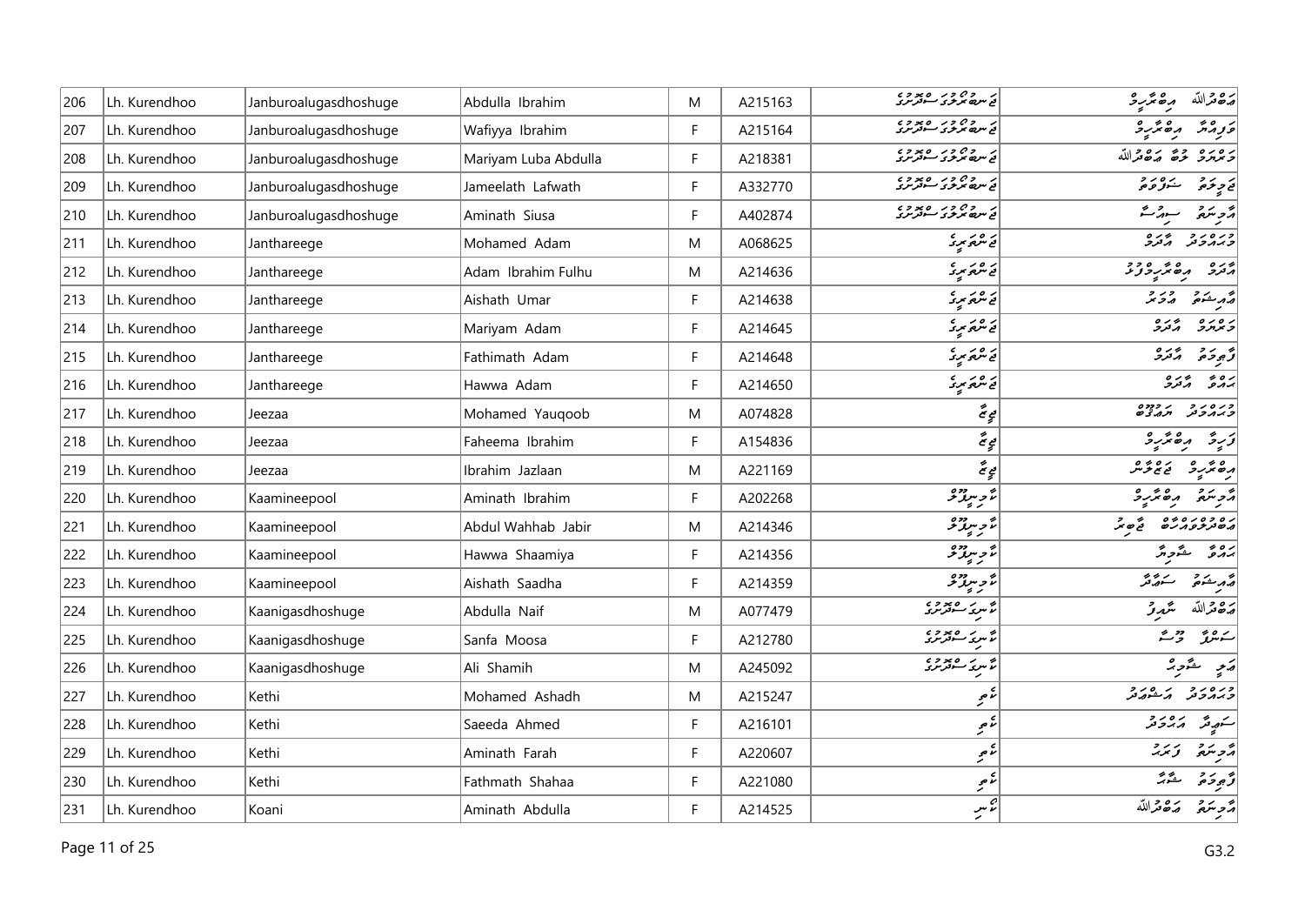| 206 | Lh. Kurendhoo | Janburoalugasdhoshuqe | Abdulla Ibrahim      | M  | A215163 | ر د و به و ر ه پرو د<br>تع سم <i>ی پرو</i> <sub>ک</sub> سوترس | وكافرالله<br>ەھ تررۈ                                   |
|-----|---------------|-----------------------|----------------------|----|---------|---------------------------------------------------------------|--------------------------------------------------------|
| 207 | Lh. Kurendhoo | Janburoalugasdhoshuge | Wafiyya Ibrahim      | F  | A215164 | ر سروج و ر ۔ و پر و ۽<br>تع سرج بحري سوتوريوي                 | برە ئرىر ۋ<br>ر و ه پژ                                 |
| 208 | Lh. Kurendhoo | Janburoalugasdhoshuge | Mariyam Luba Abdulla | F  | A218381 | ر سر دی ور ه پر و ،<br>نج سه تر تر د سوتر تر د                | ره ره وی ره ورالله                                     |
| 209 | Lh. Kurendhoo | Janburoalugasdhoshuge | Jameelath Lafwath    | F  | A332770 | ر ده در ه پر د ،<br>نئے سرح پر پر در در                       | شورو و<br>فأحرقوه                                      |
| 210 | Lh. Kurendhoo | Janburoalugasdhoshuge | Aminath Siusa        | F  | A402874 | ر د و به و ر ه پرو د<br>تع سم <i>ی پرو</i> <sub>ک</sub> سوترس | أرمر برد<br>سىرتە                                      |
| 211 | Lh. Kurendhoo | Janthareege           | Mohamed Adam         | M  | A068625 | ر هر پر <sup>ي</sup>                                          | و رە ر د<br><i>د بر</i> گەر<br>پور ہ<br>مرکزو          |
| 212 | Lh. Kurendhoo | Janthareege           | Adam Ibrahim Fulhu   | M  | A214636 | تے سرچ سرچ                                                    | ه ه تر پرور د<br>په ره<br>در تر ژ                      |
| 213 | Lh. Kurendhoo | Janthareege           | Aishath Umar         | F  | A214638 | ر ہے ر<br>تع سرچ مر <sub>ک</sub>                              | و ر د<br>در تر<br>ر<br>د گهر شکوهی                     |
| 214 | Lh. Kurendhoo | Janthareege           | Mariyam Adam         | F  | A214645 | ئە ئىرىم ئىرى<br>ئى                                           | ر ه ر ه<br><del>ر</del> بربر ژ<br>پور ہ<br>پرترو       |
| 215 | Lh. Kurendhoo | Janthareege           | Fathimath Adam       | F  | A214648 | ئے مثر <i>پر پ</i> ر تح                                       | پھوڑ<br>مرکزو<br>ۇ بوز بو                              |
| 216 | Lh. Kurendhoo | Janthareege           | Hawwa Adam           | F  | A214650 | ئے سر پر سر کے                                                | رە بە<br>برادى<br>پور ہ<br>مرکز                        |
| 217 | Lh. Kurendhoo | Jeezaa                | Mohamed Yauqoob      | M  | A074828 | يم پخ                                                         | و رە ر د<br><i>د بر</i> گرىز<br>ן כדכם<br>חקה בים      |
| 218 | Lh. Kurendhoo | Jeezaa                | Faheema Ibrahim      | F  | A154836 | يم پخ                                                         | $\circ$ $\circ$ $\circ$<br>تررٍ پیچ<br>フンメめハ           |
| 219 | Lh. Kurendhoo | Jeezaa                | Ibrahim Jazlaan      | M  | A221169 | مج تج<br>مج                                                   | ەر ھەترىر <i>3</i><br>تے بچ تر نگر                     |
| 220 | Lh. Kurendhoo | Kaamineepool          | Aminath Ibrahim      | F  | A202268 | امارسوده<br>سنگ                                               | أرمر تركيح<br>ەھ ئەرج                                  |
| 221 | Lh. Kurendhoo | Kaamineepool          | Abdul Wahhab Jabir   | M  | A214346 | ر<br>ئىر بىر بىر بىر                                          | ر ه د ه ر ه د ه<br>پره تر تر و بر ر<br>يځ <i>ه ب</i> ر |
| 222 | Lh. Kurendhoo | Kaamineepool          | Hawwa Shaamiya       | F. | A214356 | اء و سروره<br>مسرور محمد                                      | برە پچ<br>ستذورتر                                      |
| 223 | Lh. Kurendhoo | Kaamineepool          | Aishath Saadha       | F  | A214359 | ءً <sub>حر</sub> سرو و<br>م                                   | سەھەتىر<br>ر<br>پر گر شکو                              |
| 224 | Lh. Kurendhoo | Kaanigasdhoshuge      | Abdulla Naif         | M  | A077479 | رس کے سورے<br>ماگسریک سنوٹس پر                                | صصرالله<br>سٌدرتر                                      |
| 225 | Lh. Kurendhoo | Kaanigasdhoshuge      | Sanfa Moosa          | F  | A212780 | د سر کرد د د د د<br>ما سری سونتر مرد                          | سەھەر<br>ديو مشر                                       |
| 226 | Lh. Kurendhoo | Kaanigasdhoshuge      | Ali Shamih           | M  | A245092 | ه سر په د د ،<br>تا سر کسورسری                                | ړَ په شور د                                            |
| 227 | Lh. Kurendhoo | Kethi                 | Mohamed Ashadh       | M  | A215247 | تنفجر                                                         | ورەرو كەھەدو<br><i>جەم</i> ەدىر م <i>ى</i> شومەتر      |
| 228 | Lh. Kurendhoo | Kethi                 | Saeeda Ahmed         | F. | A216101 | ء<br>مو                                                       | أسكور مدور                                             |
| 229 | Lh. Kurendhoo | Kethi                 | Aminath Farah        | F  | A220607 | اءِ<br>اعو                                                    | أأدينهم وتردد                                          |
| 230 | Lh. Kurendhoo | Kethi                 | Fathmath Shahaa      | F. | A221080 | اء<br>المأمو                                                  | ستذبر<br>ۇ بوز ە                                       |
| 231 | Lh. Kurendhoo | Koani                 | Aminath Abdulla      | F. | A214525 | م<br>مناسبہ                                                   | مُرْحِ مَدْ مَرْهُ مِّدَاللَّهُ                        |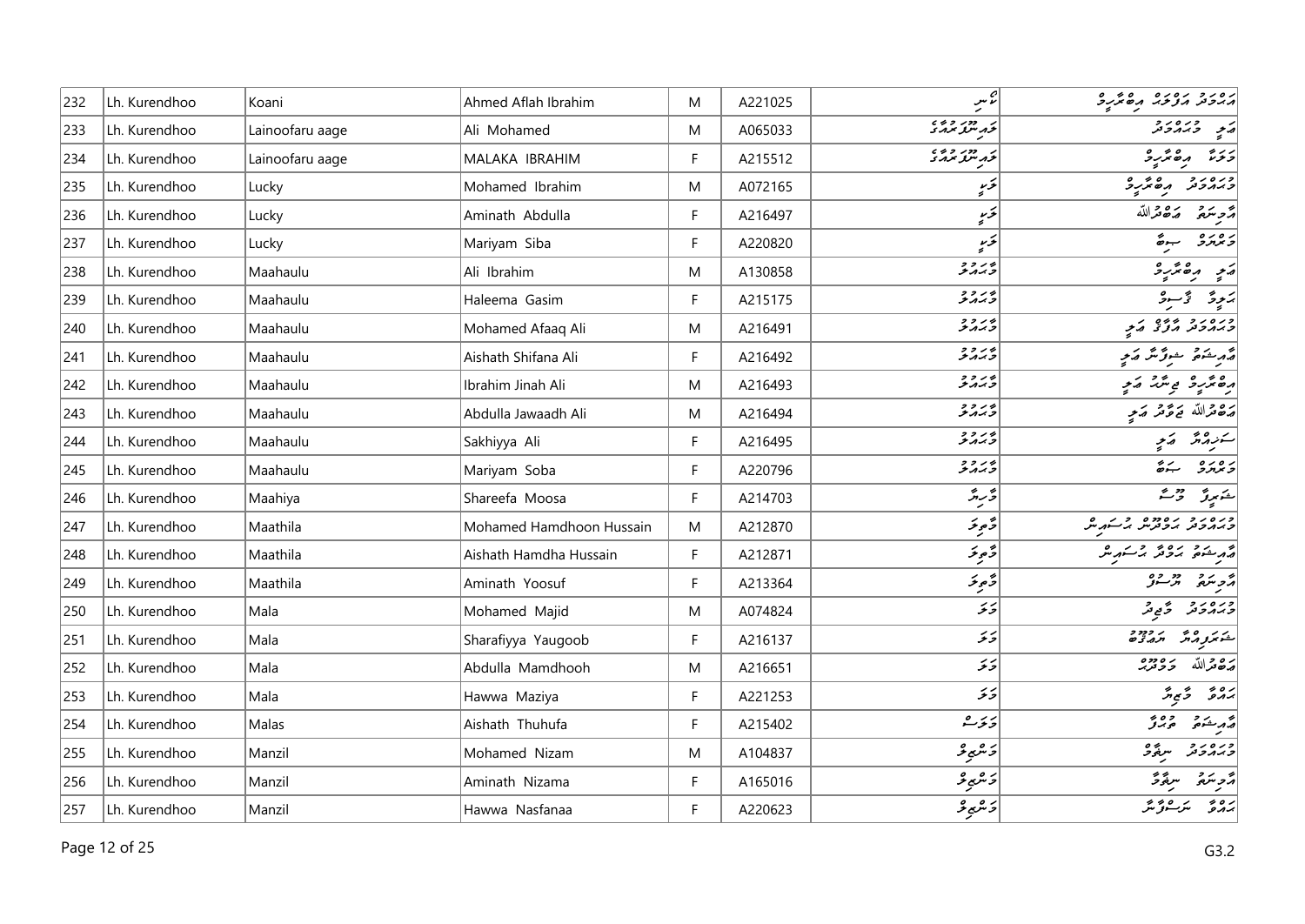| 232 | Lh. Kurendhoo | Koani           | Ahmed Aflah Ibrahim      | M         | A221025 | اتھ سر                           | גם גם גם גם הפיק כ                                                                                                                             |
|-----|---------------|-----------------|--------------------------|-----------|---------|----------------------------------|------------------------------------------------------------------------------------------------------------------------------------------------|
| 233 | Lh. Kurendhoo | Lainoofaru aage | Ali Mohamed              | M         | A065033 | تر دور و د ،<br>تر مرکز بور ی    | أوسم وره رد                                                                                                                                    |
| 234 | Lh. Kurendhoo | Lainoofaru aage | MALAKA IBRAHIM           | F         | A215512 | ا در دور وي .<br>اخير شرقه شهر د |                                                                                                                                                |
| 235 | Lh. Kurendhoo | Lucky           | Mohamed Ibrahim          | M         | A072165 | لځېږ                             | כמחכנק תסתיק                                                                                                                                   |
| 236 | Lh. Kurendhoo | Lucky           | Aminath Abdulla          | F         | A216497 | ځونړ                             | مُحْرِسَهِ مَصْعَرِاللَّهُ                                                                                                                     |
| 237 | Lh. Kurendhoo | Lucky           | Mariyam Siba             | F         | A220820 | لتجيبه                           | رەرە بىرە                                                                                                                                      |
| 238 | Lh. Kurendhoo | Maahaulu        | Ali Ibrahim              | M         | A130858 | وردو                             | $5 - 50 - 50$                                                                                                                                  |
| 239 | Lh. Kurendhoo | Maahaulu        | Haleema Gasim            | F         | A215175 | وبردو                            | يَرْجِرْحُ = تَخْرِجْرُ                                                                                                                        |
| 240 | Lh. Kurendhoo | Maahaulu        | Mohamed Afaaq Ali        | M         | A216491 | <i>پر پر</i> بر                  |                                                                                                                                                |
| 241 | Lh. Kurendhoo | Maahaulu        | Aishath Shifana Ali      | F         | A216492 | <i>چر ج</i> و چ                  |                                                                                                                                                |
| 242 | Lh. Kurendhoo | Maahaulu        | Ibrahim Jinah Ali        | M         | A216493 | وبردو                            | رەپرىر يېشتى كې                                                                                                                                |
| 243 | Lh. Kurendhoo | Maahaulu        | Abdulla Jawaadh Ali      | ${\sf M}$ | A216494 | <i>پر د</i> و                    | رە دالله مۇمر كەي                                                                                                                              |
| 244 | Lh. Kurendhoo | Maahaulu        | Sakhiyya Ali             | F         | A216495 | <i>پر د</i> و                    | $\begin{array}{cc} \mathcal{L}_{\mathcal{A}} & \mathcal{L}_{\mathcal{A}} \\ \mathcal{L}_{\mathcal{A}} & \mathcal{L}_{\mathcal{A}} \end{array}$ |
| 245 | Lh. Kurendhoo | Maahaulu        | Mariyam Soba             | F         | A220796 | ور د د<br>د بر د بر              | $\begin{array}{cc} 2 & 0 & 0 \\ 0 & -2 & 0 \end{array}$                                                                                        |
| 246 | Lh. Kurendhoo | Maahiya         | Shareefa Moosa           | F         | A214703 | د گر پر<br>گر                    | شەيرۇ - ئۇڭ                                                                                                                                    |
| 247 | Lh. Kurendhoo | Maathila        | Mohamed Hamdhoon Hussain | ${\sf M}$ | A212870 | ترُّه بحر                        | وره رو بره دوه و مهر ش                                                                                                                         |
| 248 | Lh. Kurendhoo | Maathila        | Aishath Hamdha Hussain   | F         | A212871 | ۇ ئەر                            | مەم ئىشقى برونكە برىسكىرىك                                                                                                                     |
| 249 | Lh. Kurendhoo | Maathila        | Aminath Yoosuf           | F         | A213364 | قرموځه                           | ړې شه د ده وه                                                                                                                                  |
| 250 | Lh. Kurendhoo | Mala            | Mohamed Majid            | ${\sf M}$ | A074824 | ئەئى                             | ورەر ئەتەر                                                                                                                                     |
| 251 | Lh. Kurendhoo | Mala            | Sharafiyya Yaugoob       | F         | A216137 | ئەئىر                            | בי הקרות תכנים                                                                                                                                 |
| 252 | Lh. Kurendhoo | Mala            | Abdulla Mamdhooh         | M         | A216651 | ترىخە                            | برە قراللە بە دوە                                                                                                                              |
| 253 | Lh. Kurendhoo | Mala            | Hawwa Maziya             | F         | A221253 | رىز                              | پروڅ د څې پر                                                                                                                                   |
| 254 | Lh. Kurendhoo | Malas           | Aishath Thuhufa          | F         | A215402 | ىز ئە                            | و در ده ده د                                                                                                                                   |
| 255 | Lh. Kurendhoo | Manzil          | Mohamed Nizam            | M         | A104837 | ئەنتىبى پى                       | ورەرو سرگو                                                                                                                                     |
| 256 | Lh. Kurendhoo | Manzil          | Aminath Nizama           | F         | A165016 | ئەنتىبى پى                       | أأدبتكم بتلجو                                                                                                                                  |
| 257 | Lh. Kurendhoo | Manzil          | Hawwa Nasfanaa           | F         | A220623 | ۇ ئىرىمۇ                         | رە ئەررەپەر                                                                                                                                    |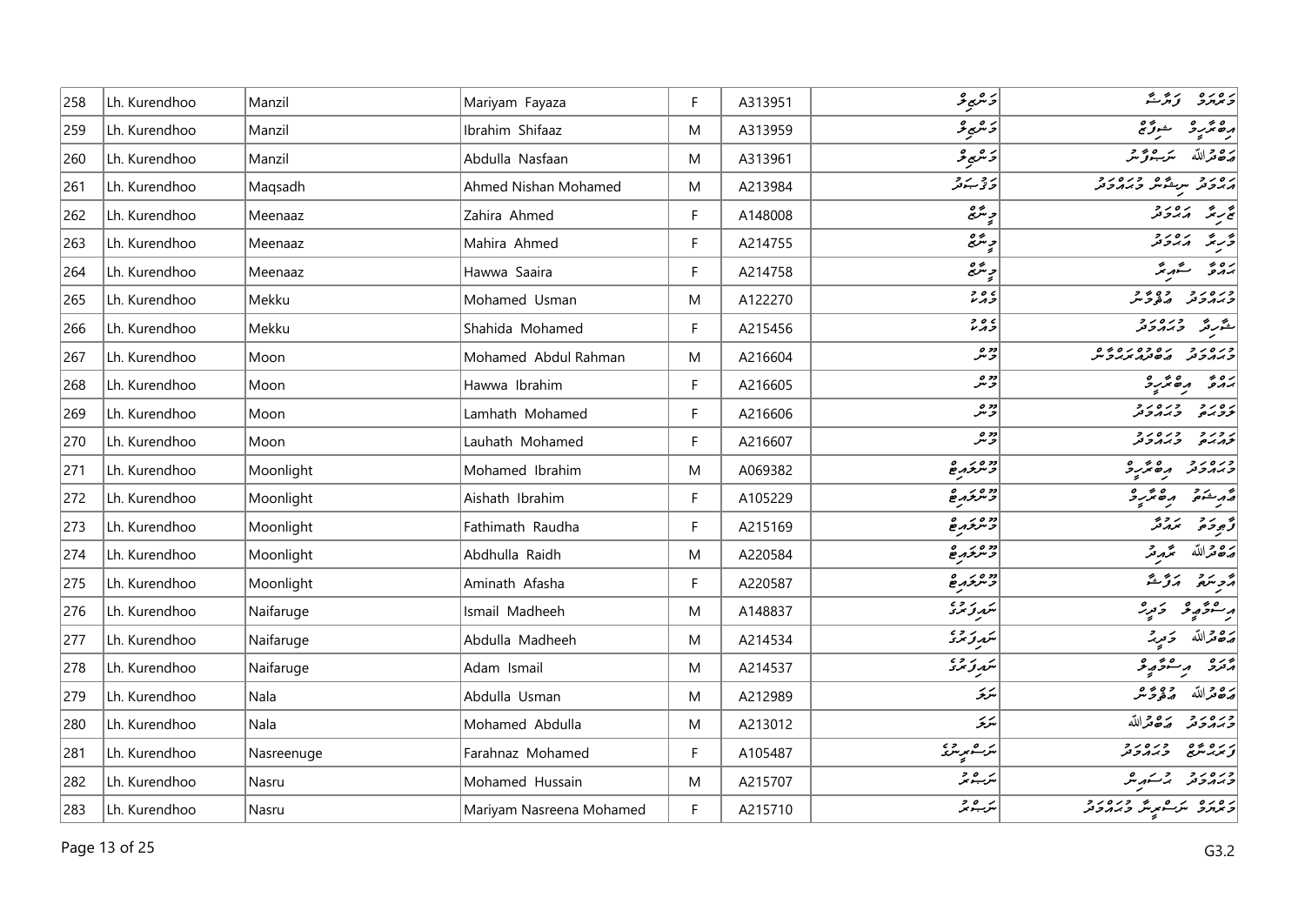| 258 | Lh. Kurendhoo | Manzil     | Mariyam Fayaza           | F.          | A313951 | ئەشىر بۇ                         | ر ه بر ه<br>تر بر بر<br>تر پژ ک                        |
|-----|---------------|------------|--------------------------|-------------|---------|----------------------------------|--------------------------------------------------------|
| 259 | Lh. Kurendhoo | Manzil     | Ibrahim Shifaaz          | M           | A313959 | ئەشىر ۋ                          | ە ھېڭرىرى<br>رەمۇرىرى<br>شوژنج<br>__                   |
| 260 | Lh. Kurendhoo | Manzil     | Abdulla Nasfaan          | M           | A313961 | ئەنگەپو                          | رە قراللە سىبەر قرىر                                   |
| 261 | Lh. Kurendhoo | Maqsadh    | Ahmed Nishan Mohamed     | M           | A213984 | پر چ پ چ<br>  په نومبر کل        | رەر دېر سرشگر وردولو                                   |
| 262 | Lh. Kurendhoo | Meenaaz    | Zahira Ahmed             | $\mathsf F$ | A148008 | جريثي                            |                                                        |
| 263 | Lh. Kurendhoo | Meenaaz    | Mahira Ahmed             | $\mathsf F$ | A214755 | جريثي                            | و پر درو                                               |
| 264 | Lh. Kurendhoo | Meenaaz    | Hawwa Saaira             | $\mathsf F$ | A214758 | جريثي                            | رەپە شەپر                                              |
| 265 | Lh. Kurendhoo | Mekku      | Mohamed Usman            | M           | A122270 | ې ه د<br>د ۱۸۶                   | وره رو وه دو.<br><i>وب</i> رمرح تر مرد مر              |
| 266 | Lh. Kurendhoo | Mekku      | Shahida Mohamed          | F.          | A215456 | ې ه د<br>حرم                     | أختريش وبره رو                                         |
| 267 | Lh. Kurendhoo | Moon       | Mohamed Abdul Rahman     | M           | A216604 | دد ه                             | وره رود ده وه ره ده ه<br><i>و برو دقتر ها ه</i> ترمر   |
| 268 | Lh. Kurendhoo | Moon       | Hawwa Ibrahim            | F           | A216605 | ود ه                             | ده ده مدرد                                             |
| 269 | Lh. Kurendhoo | Moon       | Lamhath Mohamed          | F           | A216606 | ود ه                             | و ر ه ر د<br>تر پر ژ تر<br>رە ر د<br>نۆر برە           |
| 270 | Lh. Kurendhoo | Moon       | Lauhath Mohamed          | F           | A216607 | ود ه                             | و ره ر د<br><i>د ب</i> رگرمر<br>ىر دىر د               |
| 271 | Lh. Kurendhoo | Moonlight  | Mohamed Ibrahim          | M           | A069382 | رومر پر مع                       | כמחכת תפתיכ                                            |
| 272 | Lh. Kurendhoo | Moonlight  | Aishath Ibrahim          | F           | A105229 | وده ره<br>د سر <sub>خرار</sub> ه |                                                        |
| 273 | Lh. Kurendhoo | Moonlight  | Fathimath Raudha         | $\mathsf F$ | A215169 | وده ره<br>د سر <sub>خرار</sub> ه | توجدة برديد                                            |
| 274 | Lh. Kurendhoo | Moonlight  | Abdhulla Raidh           | M           | A220584 | وحمر كرمر                        | رك <i>ھ قر</i> الله<br>بخرمر فنر                       |
| 275 | Lh. Kurendhoo | Moonlight  | Aminath Afasha           | F           | A220587 | لتشريخه وهج                      | أزويته أزؤية                                           |
| 276 | Lh. Kurendhoo | Naifaruge  | Ismail Madheeh           | M           | A148837 | سَدِرَ بِرَ ۽                    | برڪروپو ڏيرو                                           |
| 277 | Lh. Kurendhoo | Naifaruge  | Abdulla Madheeh          | M           | A214534 | يېمبرۇ ئېرى<br>                  | رە قىراللە كەربە                                       |
| 278 | Lh. Kurendhoo | Naifaruge  | Adam Ismail              | M           | A214537 | ىئەر ئەسىمى<br>مىسىر ئەسىمە      | أثروه المستحمد                                         |
| 279 | Lh. Kurendhoo | Nala       | Abdulla Usman            | M           | A212989 | سريز                             | أرەقراللە مەمرەر                                       |
| 280 | Lh. Kurendhoo | Nala       | Mohamed Abdulla          | M           | A213012 | سريخه                            | وبرەرو برە قراللە                                      |
| 281 | Lh. Kurendhoo | Nasreenuge | Farahnaz Mohamed         | F           | A105487 | ىئرىش <sub>مىر</sub> ىترىگە      | ر ره ۵۶<br>و <del>ب</del> رر س<br>و رە ر د<br>تر پروتر |
| 282 | Lh. Kurendhoo | Nasru      | Mohamed Hussain          | M           | A215707 | ىر مە ج                          | ورەرو ورىدىگ                                           |
| 283 | Lh. Kurendhoo | Nasru      | Mariyam Nasreena Mohamed | F           | A215710 | ىئەبەيىتى                        | ו 2010 ו 2010.<br>ב זואר יוני יוניות ב גורניו          |
|     |               |            |                          |             |         |                                  |                                                        |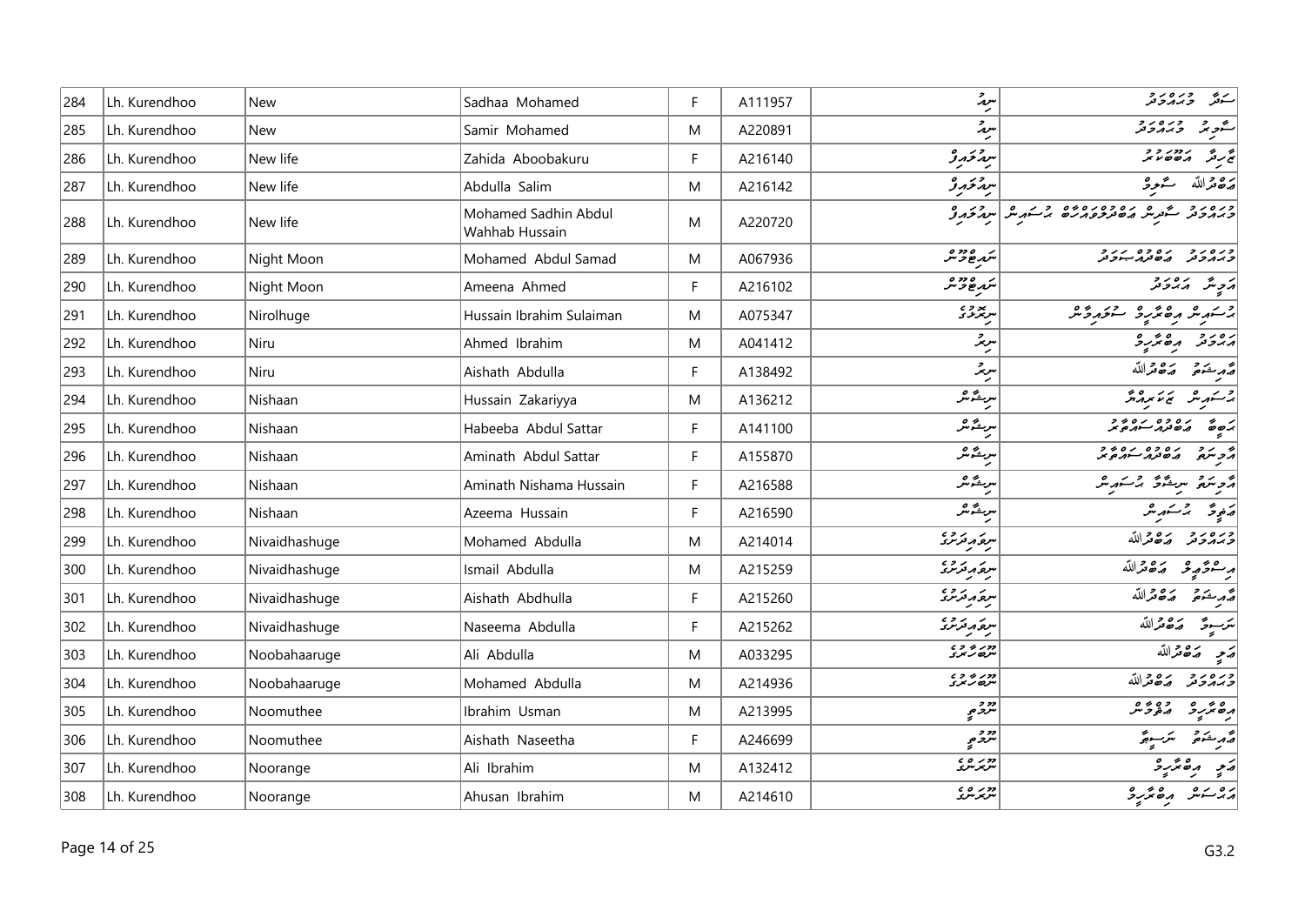| 284 | Lh. Kurendhoo | New           | Sadhaa Mohamed                         | F           | A111957 | سرد                        | سدو وره د و                                                                                                                                                                                                                      |
|-----|---------------|---------------|----------------------------------------|-------------|---------|----------------------------|----------------------------------------------------------------------------------------------------------------------------------------------------------------------------------------------------------------------------------|
| 285 | Lh. Kurendhoo | New           | Samir Mohamed                          | ${\sf M}$   | A220891 | سرچ                        | و ره ر و<br><i>و پر</i> و تر<br> ستمر پژ                                                                                                                                                                                         |
| 286 | Lh. Kurendhoo | New life      | Zahida Aboobakuru                      | F           | A216140 | سرچمبرو                    | 5, 7, 7, 7, 8, 8                                                                                                                                                                                                                 |
| 287 | Lh. Kurendhoo | New life      | Abdulla Salim                          | M           | A216142 | سرمزمرو                    | رەقمەللە گروۋ                                                                                                                                                                                                                    |
| 288 | Lh. Kurendhoo | New life      | Mohamed Sadhin Abdul<br>Wahhab Hussain | ${\sf M}$   | A220720 | سرچمبرو                    |                                                                                                                                                                                                                                  |
| 289 | Lh. Kurendhoo | Night Moon    | Mohamed Abdul Samad                    | ${\sf M}$   | A067936 | سَهر ۱۳۶۴ مر               | 177000 מיני<br>17700 הסנג-יכנג                                                                                                                                                                                                   |
| 290 | Lh. Kurendhoo | Night Moon    | Ameena Ahmed                           | F           | A216102 | يندع دور                   | أروبتر أرورو                                                                                                                                                                                                                     |
| 291 | Lh. Kurendhoo | Nirolhuge     | Hussain Ibrahim Sulaiman               | ${\sf M}$   | A075347 | ا<br>سرپربوی<br>م          | ر سر مه شهره در سر در در در در در در سر در سر در سر در سر در سر در سر در سر در سر در سر در سر در سر در سر در س<br>مسر در سر در سر در سر در سر در سر در سر در سر در سر در سر در سر در سر در سر در سر در سر در سر در سر در سر در س |
| 292 | Lh. Kurendhoo | Niru          | Ahmed Ibrahim                          | ${\sf M}$   | A041412 | سرچر                       | أرور وه محمدة                                                                                                                                                                                                                    |
| 293 | Lh. Kurendhoo | Niru          | Aishath Abdulla                        | F           | A138492 | سرچر                       | مُ مُ شَوْمٌ مُ صَّعْرَ اللَّهُ                                                                                                                                                                                                  |
| 294 | Lh. Kurendhoo | Nishaan       | Hussain Zakariyya                      | M           | A136212 | اسريقيقر                   | ה ביות יית מות היות את היות את היות ל                                                                                                                                                                                            |
| 295 | Lh. Kurendhoo | Nishaan       | Habeeba Abdul Sattar                   | F           | A141100 | اسبيقيقر                   | 7401070100                                                                                                                                                                                                                       |
| 296 | Lh. Kurendhoo | Nishaan       | Aminath Abdul Sattar                   | F           | A155870 | سرڪرشر                     | מ ני נסיכם נסמיכ                                                                                                                                                                                                                 |
| 297 | Lh. Kurendhoo | Nishaan       | Aminath Nishama Hussain                | F           | A216588 | سرىشەشر                    | أزويني بريقى برخيري                                                                                                                                                                                                              |
| 298 | Lh. Kurendhoo | Nishaan       | Azeema Hussain                         | $\mathsf F$ | A216590 | اسریشمر<br>پر              | مَنْ وَسَوِير                                                                                                                                                                                                                    |
| 299 | Lh. Kurendhoo | Nivaidhashuge | Mohamed Abdulla                        | M           | A214014 | سرە مەر تەر                | وره رو ده دالله                                                                                                                                                                                                                  |
| 300 | Lh. Kurendhoo | Nivaidhashuge | Ismail Abdulla                         | M           | A215259 | سرە مەر تەر                | مر عوصر محدد الله                                                                                                                                                                                                                |
| 301 | Lh. Kurendhoo | Nivaidhashuge | Aishath Abdhulla                       | $\mathsf F$ | A215260 | سرە مەر تەر                | أقهر شؤمج وكافترالله                                                                                                                                                                                                             |
| 302 | Lh. Kurendhoo | Nivaidhashuge | Naseema Abdulla                        | F           | A215262 | سرە مەترىرى<br>كەنبە       | $\begin{array}{ccc} \hline & \circ & \circ & \circ \\ \hline \end{array}$                                                                                                                                                        |
| 303 | Lh. Kurendhoo | Noobahaaruge  | Ali Abdulla                            | ${\sf M}$   | A033295 | وور پر و ،<br>سرچ رسمری    | أصوب مكافيتها                                                                                                                                                                                                                    |
| 304 | Lh. Kurendhoo | Noobahaaruge  | Mohamed Abdulla                        | ${\sf M}$   | A214936 | وور پر و بر<br>سرچ تر بو ی | وره رو بره دالله                                                                                                                                                                                                                 |
| 305 | Lh. Kurendhoo | Noomuthee     | Ibrahim Usman                          | M           | A213995 | دد د<br>سرچ م <sub>ړ</sub> | رەپرىر دەپر                                                                                                                                                                                                                      |
| 306 | Lh. Kurendhoo | Noomuthee     | Aishath Naseetha                       | F           | A246699 | دد د<br>سرچ م <sub>ح</sub> | و<br>وگرېشو سرسونو                                                                                                                                                                                                               |
| 307 | Lh. Kurendhoo | Noorange      | Ali Ibrahim                            | M           | A132412 | دور ه ،<br>سرپرسر          | ړې ره ټرو                                                                                                                                                                                                                        |
| 308 | Lh. Kurendhoo | Noorange      | Ahusan Ibrahim                         | M           | A214610 | دد بر ۵ بر<br>سرپرسری      | رەب كە مەھمىر                                                                                                                                                                                                                    |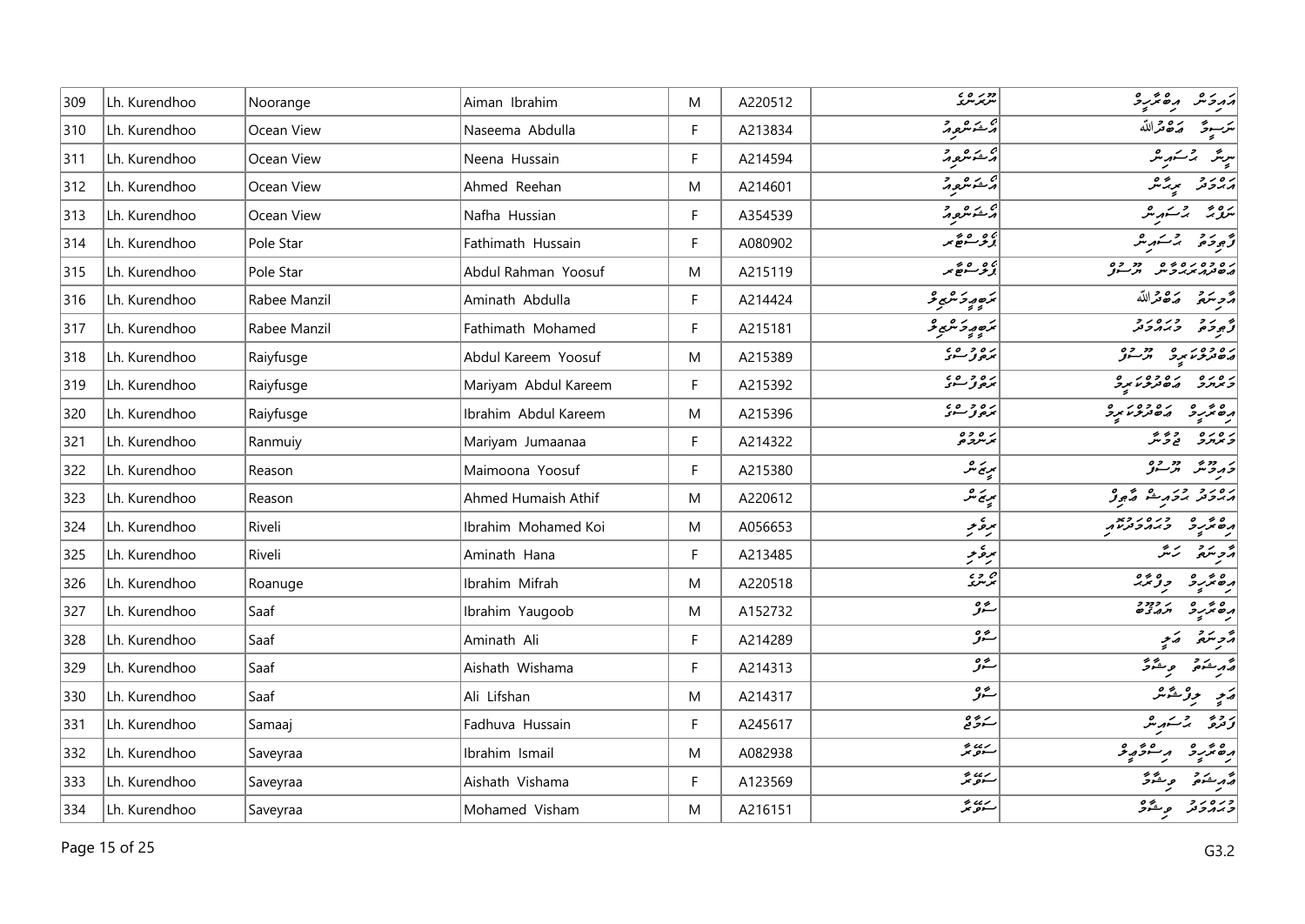| 309   | Lh. Kurendhoo | Noorange     | Aiman Ibrahim        | M         | A220512 | دد بر ۵ بر<br>سرپرسری   |                                                              |
|-------|---------------|--------------|----------------------|-----------|---------|-------------------------|--------------------------------------------------------------|
| 310   | Lh. Kurendhoo | Ocean View   | Naseema Abdulla      | F         | A213834 | ئۇينىش <i>ى</i> رىر     | سَرَحِيحَ صَرْهُ قَرْاللّهِ                                  |
| 311   | Lh. Kurendhoo | Ocean View   | Neena Hussain        | F         | A214594 | لأشكرهمور               | سرینگر الرکسکورینگر                                          |
| $312$ | Lh. Kurendhoo | Ocean View   | Ahmed Reehan         | M         | A214601 | لأشكرهم                 | رەرد پرچم                                                    |
| 313   | Lh. Kurendhoo | Ocean View   | Nafha Hussian        | F         | A354539 | م شەمى <i>رە</i> ج      | ىتروم ئەسەر بىر                                              |
| 314   | Lh. Kurendhoo | Pole Star    | Fathimath Hussain    | F         | A080902 | پۇر ش <sub>ەھ</sub> كىر | ۇيوخۇ باشىرىش                                                |
| 315   | Lh. Kurendhoo | Pole Star    | Abdul Rahman Yoosuf  | M         | A215119 | ئۇغرىشقۇ بىر            | נ ס כ ס ג ס גים מרי כ ס ב<br>הם <i>ב ה ה ג ג ב יית</i> מ יית |
| 316   | Lh. Kurendhoo | Rabee Manzil | Aminath Abdulla      | F         | A214424 | برەر ئەشرىر ۋ           | محجة متعاقبة الله                                            |
| 317   | Lh. Kurendhoo | Rabee Manzil | Fathimath Mohamed    | F         | A215181 | بجەمە جەمىي ۋ           | و ده دره در                                                  |
| 318   | Lh. Kurendhoo | Raiyfusge    | Abdul Kareem Yoosuf  | M         | A215389 | ر ه د ه ه<br>برو تر سو  | ן פרפי תרי כפ<br>הסתקי תרי ת                                 |
| 319   | Lh. Kurendhoo | Raiyfusge    | Mariyam Abdul Kareem | F         | A215392 | ره د ه ،<br>بروز سر     | נפנם נפכסנים<br>כמחב מסתיבטיב                                |
| 320   | Lh. Kurendhoo | Raiyfusge    | Ibrahim Abdul Kareem | M         | A215396 | بره و ه ه ،<br>برو تو ک | ره محر د د و د د د کرده کرد که د                             |
| 321   | Lh. Kurendhoo | Ranmuiy      | Mariyam Jumaanaa     | F         | A214322 | ر ه ده<br>مرس           | وبروره<br>و بو نگر<br>مع <del>گ</del> رمگر                   |
| 322   | Lh. Kurendhoo | Reason       | Maimoona Yoosuf      | F         | A215380 | ىيە ئە ئىگە             | בתכית ובפ                                                    |
| 323   | Lh. Kurendhoo | Reason       | Ahmed Humaish Athif  | ${\sf M}$ | A220612 | ىيە ئە ئىگە             | رورو ورميث مهور                                              |
| 324   | Lh. Kurendhoo | Riveli       | Ibrahim Mohamed Koi  | ${\sf M}$ | A056653 | برءمر                   | הפיציב במחכניות<br>הפיציב במחכניות                           |
| 325   | Lh. Kurendhoo | Riveli       | Aminath Hana         | F         | A213485 | ىرەً يو                 | ړ وسره رند                                                   |
| 326   | Lh. Kurendhoo | Roanuge      | Ibrahim Mifrah       | M         | A220518 | م و ،<br>برسر           | رەپرىر دوپر                                                  |
| 327   | Lh. Kurendhoo | Saaf         | Ibrahim Yaugoob      | M         | A152732 | سەۋ                     | ە ھەترىرى<br>بر ھەترىرى<br>ן כדב ב<br>חמה בש                 |
| 328   | Lh. Kurendhoo | Saaf         | Aminath Ali          | F         | A214289 | شۇي                     | أأدستم أأأم                                                  |
| 329   | Lh. Kurendhoo | Saaf         | Aishath Wishama      | F         | A214313 | شۇمۇ                    |                                                              |
| 330   | Lh. Kurendhoo | Saaf         | Ali Lifshan          | M         | A214317 | شۇمۇ                    | ړې ووځش                                                      |
| 331   | Lh. Kurendhoo | Samaaj       | Fadhuva Hussain      | F         | A245617 | ستروح                   | دود چمسمبر                                                   |
| 332   | Lh. Kurendhoo | Saveyraa     | Ibrahim Ismail       | M         | A082938 | ر ، ، .<br>سوء بر       | دەندىر مەشر                                                  |
| 333   | Lh. Kurendhoo | Saveyraa     | Aishath Vishama      | F         | A123569 | ر ،، پ<br>سوه بو        | و د شود و شود.<br>د د شود و شود                              |
| 334   | Lh. Kurendhoo | Saveyraa     | Mohamed Visham       | ${\sf M}$ | A216151 | ر پر پ<br>سنونو تنز     | ورەر د مەدە<br><i>جەم</i> ەدىر كەشىر                         |
|       |               |              |                      |           |         |                         |                                                              |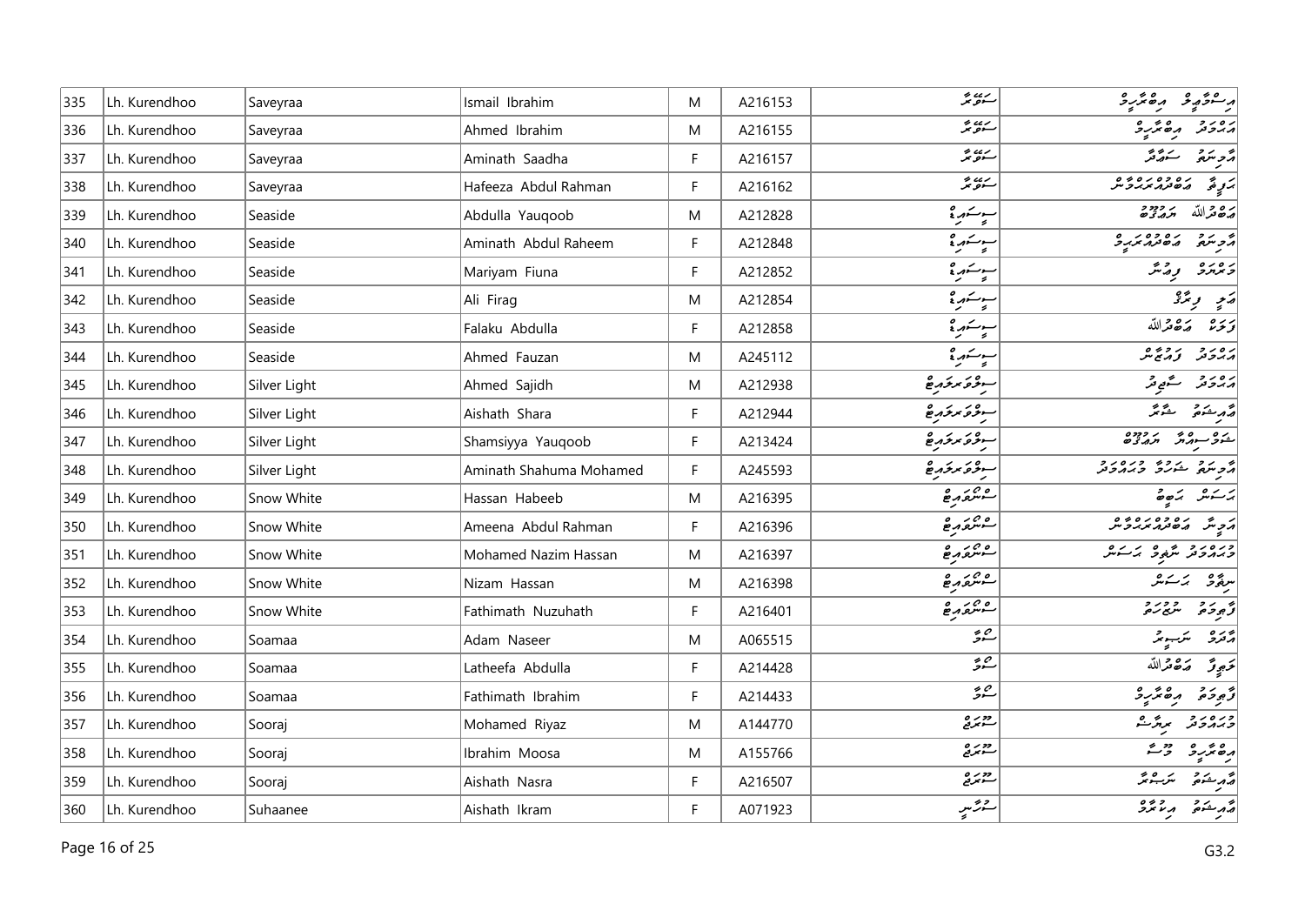| 335 | Lh. Kurendhoo | Saveyraa     | Ismail Ibrahim          | M         | A216153 | ر ، ،<br>سنوچ        | ر عۇرپو رەترىرو                                |
|-----|---------------|--------------|-------------------------|-----------|---------|----------------------|------------------------------------------------|
| 336 | Lh. Kurendhoo | Saveyraa     | Ahmed Ibrahim           | M         | A216155 | ر ، ،<br>سوء بر      |                                                |
| 337 | Lh. Kurendhoo | Saveyraa     | Aminath Saadha          | F         | A216157 | ر ، ، پ<br>سوء بر    | ر پر پڑ<br>ړ څه سره                            |
| 338 | Lh. Kurendhoo | Saveyraa     | Hafeeza Abdul Rahman    | F         | A216162 | ر ،، پ<br>سوء بو     | ره وه ره ده.<br>پره تربر بررگ<br>برَوٍءُ       |
| 339 | Lh. Kurendhoo | Seaside      | Abdulla Yauqoob         | ${\sf M}$ | A212828 | سەسىدە ؟<br>ئىقسىسىز | بره قرالله مرودود                              |
| 340 | Lh. Kurendhoo | Seaside      | Aminath Abdul Raheem    | F         | A212848 | سەسىدە ؟<br>ئ        | הכיתם הסינה בגם                                |
| 341 | Lh. Kurendhoo | Seaside      | Mariyam Fiuna           | F         | A212852 | سەسە ئەرى<br>ئ       | و وره و ویگر                                   |
| 342 | Lh. Kurendhoo | Seaside      | Ali Firag               | ${\sf M}$ | A212854 | سەسىردى              | ړې ویژه                                        |
| 343 | Lh. Kurendhoo | Seaside      | Falaku Abdulla          | F         | A212858 | سوسكورة              | ترتزه رەقراللە                                 |
| 344 | Lh. Kurendhoo | Seaside      | Ahmed Fauzan            | M         | A245112 | سوسكورة              | بر ٥ پر و<br>مربر <del>و</del> تر<br>تۇرىچ بىر |
| 345 | Lh. Kurendhoo | Silver Light | Ahmed Sajidh            | M         | A212938 | سوفرة برقرار فا      | د ه د د عس محمد حر                             |
| 346 | Lh. Kurendhoo | Silver Light | Aishath Shara           | F         | A212944 | سوفر و بر نورغ       | ۇرىشى ئىگر                                     |
| 347 | Lh. Kurendhoo | Silver Light | Shamsiyya Yauqoob       | F         | A213424 | سود و بر د د ه       |                                                |
| 348 | Lh. Kurendhoo | Silver Light | Aminath Shahuma Mohamed | F         | A245593 | سوفره برۇرغ          | و دو دوه وره دو                                |
| 349 | Lh. Kurendhoo | Snow White   | Hassan Habeeb           | ${\sf M}$ | A216395 | وصمره                | ير کي په په                                    |
| 350 | Lh. Kurendhoo | Snow White   | Ameena Abdul Rahman     | F         | A216396 | e jêre               | C C C COLORO COR                               |
| 351 | Lh. Kurendhoo | Snow White   | Mohamed Nazim Hassan    | M         | A216397 | <u>ە ئەترىم ۋ</u>    | ورەرو ئۇچۇ ئەسەئ                               |
| 352 | Lh. Kurendhoo | Snow White   | Nizam Hassan            | M         | A216398 | <u>ہ جنوبرہ</u>      | سرۋى ئەسەس                                     |
| 353 | Lh. Kurendhoo | Snow White   | Fathimath Nuzuhath      | F         | A216401 | مشتقدي               | پر دی پر د<br>سرچ سرحو<br>وٌجوحهُ              |
| 354 | Lh. Kurendhoo | Soamaa       | Adam Naseer             | ${\sf M}$ | A065515 | مشوشح                | په ره<br>د ترو<br>ىئرسونر                      |
| 355 | Lh. Kurendhoo | Soamaa       | Latheefa Abdulla        | F         | A214428 | حيوته                | حَجوتر مَصْعَراللّه                            |
| 356 | Lh. Kurendhoo | Soamaa       | Fathimath Ibrahim       | F         | A214433 | حيو                  | ومجدد مقتررة                                   |
| 357 | Lh. Kurendhoo | Sooraj       | Mohamed Riyaz           | ${\sf M}$ | A144770 | ردد ره<br>سنوري      | ورەرو برگرم                                    |
| 358 | Lh. Kurendhoo | Sooraj       | Ibrahim Moosa           | M         | A155766 | دو بر ه<br>سنو پر م  | ەر ھەتمەر 2<br>س<br>وحرثه                      |
| 359 | Lh. Kurendhoo | Sooraj       | Aishath Nasra           | F         | A216507 | ردد ره<br>سنوري      | و مر شو د<br>مر<br>ىئەبەتىر                    |
| 360 | Lh. Kurendhoo | Suhaanee     | Aishath Ikram           | F         | A071923 | قىر<br>بەشتەش ئو     | وكروشتهج ورائده                                |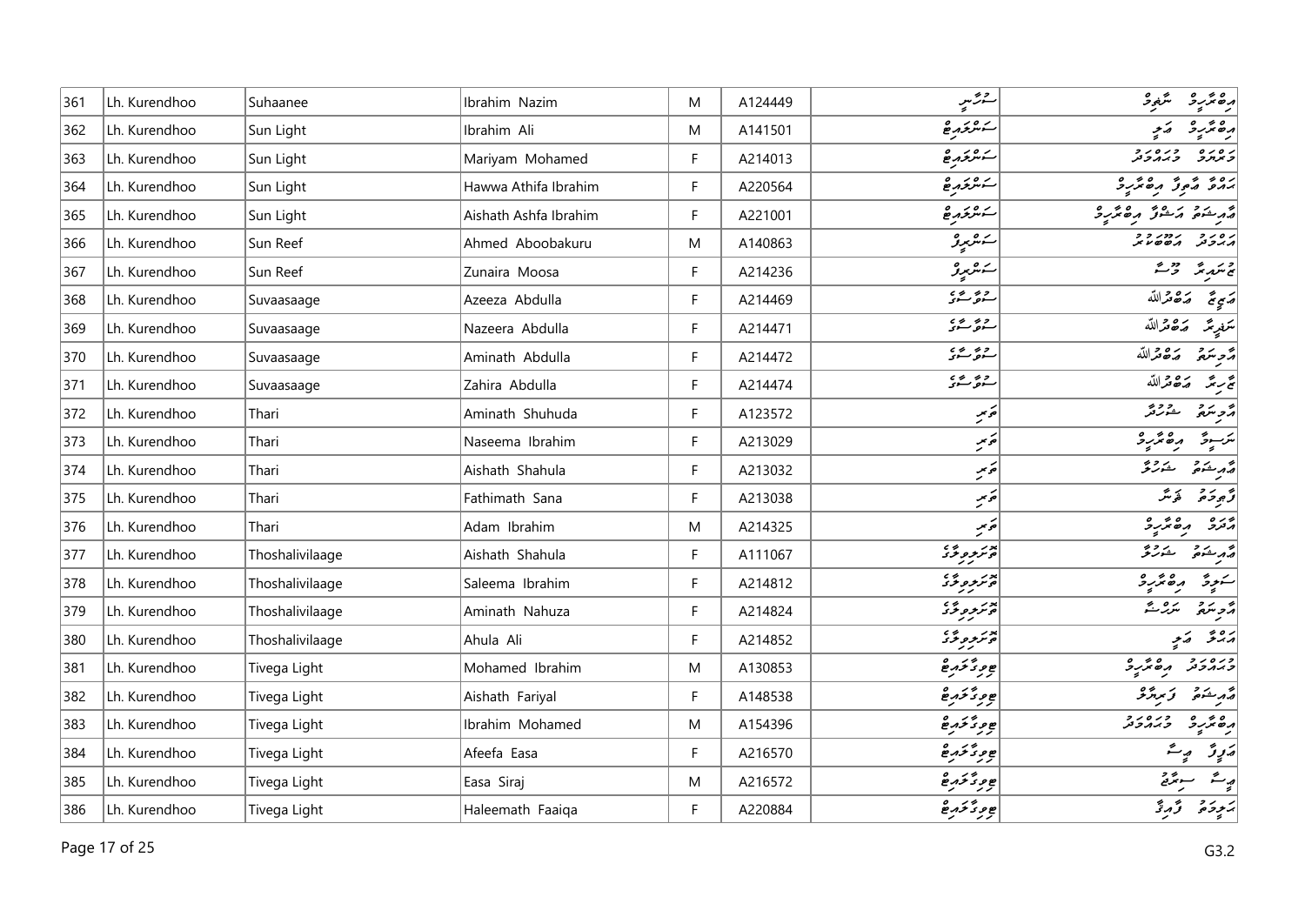| 361 | Lh. Kurendhoo | Suhaanee        | Ibrahim Nazim         | M         | A124449 | استرشىيە<br>پە                                     | متَّرموط<br>ەھ ئ <sup>ۆ</sup> ر ۋ                               |
|-----|---------------|-----------------|-----------------------|-----------|---------|----------------------------------------------------|-----------------------------------------------------------------|
| 362 | Lh. Kurendhoo | Sun Light       | Ibrahim Ali           | M         | A141501 | ستشرقهم                                            | ەر ھەئرىر <sup>ە</sup>                                          |
| 363 | Lh. Kurendhoo | Sun Light       | Mariyam Mohamed       | F         | A214013 | سەمىزىرغ                                           | ر ه ر ه<br><del>د</del> بربرو<br>و ر ه ر د<br><i>و پر</i> پر تر |
| 364 | Lh. Kurendhoo | Sun Light       | Hawwa Athifa Ibrahim  | F         | A220564 | سەمىزىرغ                                           | برە ئە ئەبور<br>ەر ھەترىر ۋ                                     |
| 365 | Lh. Kurendhoo | Sun Light       | Aishath Ashfa Ibrahim | F         | A221001 | سەمىر ئېرىقى                                       | ۇرىئى كەشۇ مەمگرو                                               |
| 366 | Lh. Kurendhoo | Sun Reef        | Ahmed Aboobakuru      | M         | A140863 | ئەمىر بۇ                                           | 7.7777<br>بر 2 د 7<br>م <i>ر</i> کر 5 تر                        |
| 367 | Lh. Kurendhoo | Sun Reef        | Zunaira Moosa         | F         | A214236 | ئەنگە <i>بېر</i> ۇ                                 | ة يئير بير من المحمد المنا                                      |
| 368 | Lh. Kurendhoo | Suvaasaage      | Azeeza Abdulla        | F         | A214469 | ر دې په دي<br>سورې ستري                            | صَبِيحٌ صَصْحَرَاللّه                                           |
| 369 | Lh. Kurendhoo | Suvaasaage      | Nazeera Abdulla       | F         | A214471 | <u>حەش شىي</u>                                     | سكغريثر<br>ەھىراللە                                             |
| 370 | Lh. Kurendhoo | Suvaasaage      | Aminath Abdulla       | F         | A214472 | <u>ر ژه په پ</u>                                   | ەھەتراللە<br>ړې سرچ                                             |
| 371 | Lh. Kurendhoo | Suvaasaage      | Zahira Abdulla        | F         | A214474 | 2 ئەھمىسى <i>مى</i>                                | پچ سر پټر<br>پ<br>وەقراللە                                      |
| 372 | Lh. Kurendhoo | Thari           | Aminath Shuhuda       | F         | A123572 | ځومبر                                              | أترسمهم<br>ستىق تەرىخى                                          |
| 373 | Lh. Kurendhoo | Thari           | Naseema Ibrahim       | F         | A213029 | ځومبر                                              | برە ئۆرۈ<br>ىئەسەۋ                                              |
| 374 | Lh. Kurendhoo | Thari           | Aishath Shahula       | F         | A213032 | ځوسر                                               | ے ترتر<br>و مرکز در<br>مرکز مشور                                |
| 375 | Lh. Kurendhoo | Thari           | Fathimath Sana        | F         | A213038 | ځومبر                                              | قەددە ئەنگە                                                     |
| 376 | Lh. Kurendhoo | Thari           | Adam Ibrahim          | ${\sf M}$ | A214325 | ځومبر                                              | په ره<br>د ترو<br>برە ئۆرۈ                                      |
| 377 | Lh. Kurendhoo | Thoshalivilaage | Aishath Shahula       | F         | A111067 | * ئىزىر ئ <sup>ى</sup> دى<br>  * ئىسرىرى <u>قى</u> | مەرىشى ئىشرىقى                                                  |
| 378 | Lh. Kurendhoo | Thoshalivilaage | Saleema Ibrahim       | F         | A214812 | ليمتز وعرقمه                                       | ە ھەمەر 2<br>برھەمەر 2<br>سەردۇ                                 |
| 379 | Lh. Kurendhoo | Thoshalivilaage | Aminath Nahuza        | F         | A214824 | پر ئرمرہ گ <sup>ی</sup><br>م                       | أروسي<br>ىئەرمىسىگە                                             |
| 380 | Lh. Kurendhoo | Thoshalivilaage | Ahula Ali             | F         | A214852 | * ئەمزىر ئ <sup>ىرى</sup> ك                        | رەپچە كەبىر                                                     |
| 381 | Lh. Kurendhoo | Tivega Light    | Mohamed Ibrahim       | M         | A130853 | ھ <i>و ڈ څو</i> ر ھ                                | و ر ه ر د<br>تر پر ژ تر<br>برە ئۆرۈ                             |
| 382 | Lh. Kurendhoo | Tivega Light    | Aishath Fariyal       | F         | A148538 | ھ <i>و ڈ څو</i> ر ھ                                | ۇ بىر پىرى<br>و<br>د گهر شکوهی                                  |
| 383 | Lh. Kurendhoo | Tivega Light    | Ibrahim Mohamed       | ${\sf M}$ | A154396 | ج <i>و د څوړ</i> ځ                                 | 5, 20, 0<br>و ره ر د<br><i>د ب</i> رگرفر                        |
| 384 | Lh. Kurendhoo | Tivega Light    | Afeefa Easa           | F         | A216570 | $rac{2}{2}$                                        | ەردۇ<br>ورځ<br>په                                               |
| 385 | Lh. Kurendhoo | Tivega Light    | Easa Siraj            | ${\sf M}$ | A216572 | ج <i>و د څوړ</i> ځ                                 | اھيے<br>اھيڪ<br>سەتىرى<br>ب                                     |
| 386 | Lh. Kurendhoo | Tivega Light    | Haleemath Faaiqa      | F         | A220884 | $rac{1}{2}$                                        | رَجِرَةً كَرَمَّةً                                              |
|     |               |                 |                       |           |         |                                                    |                                                                 |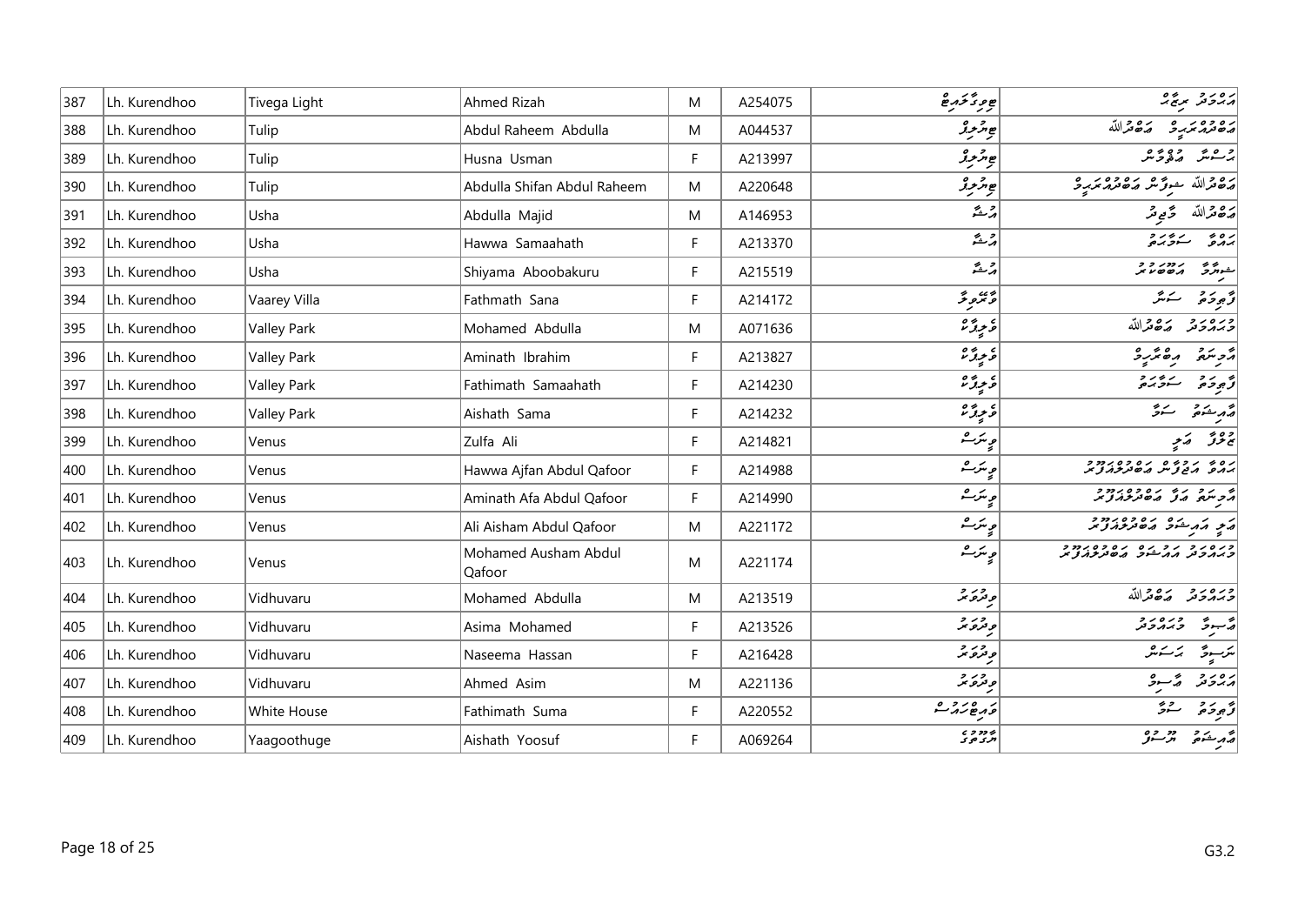| 387 | Lh. Kurendhoo | Tivega Light       | Ahmed Rizah                    | M | A254075 | ھ <i>و</i> د څرم ھ     | برور د پر پر پر                                                             |
|-----|---------------|--------------------|--------------------------------|---|---------|------------------------|-----------------------------------------------------------------------------|
| 388 | Lh. Kurendhoo | Tulip              | Abdul Raheem Abdulla           | M | A044537 | ھ پر بر د<br>س         | ره وه بر و بره دالله                                                        |
| 389 | Lh. Kurendhoo | Tulip              | Husna Usman                    | F | A213997 | ويرمرز                 | ا چې مشر ده نور شر                                                          |
| 390 | Lh. Kurendhoo | Tulip              | Abdulla Shifan Abdul Raheem    | M | A220648 | ھ پر مربر<br>مر        | رە داللە جوزىر مەدەبرە                                                      |
| 391 | Lh. Kurendhoo | Usha               | Abdulla Majid                  | M | A146953 | رژینگه                 | پره ټرالله گرم تر                                                           |
| 392 | Lh. Kurendhoo | Usha               | Hawwa Samaahath                | F | A213370 | رژیئه                  | برەپچ<br>سەۋىرە                                                             |
| 393 | Lh. Kurendhoo | Usha               | Shiyama Aboobakuru             | F | A215519 | رژینتر                 | 77777<br>شەدگر گر                                                           |
| 394 | Lh. Kurendhoo | Vaarey Villa       | Fathmath Sana                  | F | A214172 | ئۇتترە قر              | ا تو پر پر د<br>سە ئەس                                                      |
| 395 | Lh. Kurendhoo | <b>Valley Park</b> | Mohamed Abdulla                | M | A071636 | ءَ بِهِ بِرْ م         | وره رو ده دالله                                                             |
| 396 | Lh. Kurendhoo | <b>Valley Park</b> | Aminath Ibrahim                | F | A213827 | ءَ بِرِبُرٌ م          | ەھ تررى<br>ړ د سره                                                          |
| 397 | Lh. Kurendhoo | <b>Valley Park</b> | Fathimath Samaahath            | F | A214230 | ې په په ه<br>د په پېژن | سەۋىرە<br>ا توجو خر                                                         |
| 398 | Lh. Kurendhoo | <b>Valley Park</b> | Aishath Sama                   | F | A214232 | ې په په ه<br>د په پېژن | ۇ مەشقەمى<br>مەم<br>ستریخ                                                   |
| 399 | Lh. Kurendhoo | Venus              | Zulfa Ali                      | F | A214821 | و پرَ ٿ                | ج ع ق کام پر                                                                |
| 400 | Lh. Kurendhoo | Venus              | Hawwa Ajfan Abdul Qafoor       | F | A214988 | اءٍ يترقي              | נסט גבעם גם בסגמב<br>גרגע הבצית השתתהצית                                    |
| 401 | Lh. Kurendhoo | Venus              | Aminath Afa Abdul Qafoor       | F | A214990 | اءٍ يتربَّحه           | ם גב גם גם כסגדבב<br>גבייטם גצ גם בבובגציב                                  |
| 402 | Lh. Kurendhoo | Venus              | Ali Aisham Abdul Qafoor        | M | A221172 | ا <sub>حو</sub> يترتقم | د د مرد شو ماه ده د در د                                                    |
| 403 | Lh. Kurendhoo | Venus              | Mohamed Ausham Abdul<br>Oafoor | M | A221174 | ء ٍ سَرَتْہ            | وره ر د   ر د   ر ه   د ه د د د<br>و بر بر تر   بر بر شو د پر ه تر تر بر بر |
| 404 | Lh. Kurendhoo | Vidhuvaru          | Mohamed Abdulla                | M | A213519 | ءِ ترءَ تر             | وكصرالله<br>و ر ه ر د<br>تر برگرفر                                          |
| 405 | Lh. Kurendhoo | Vidhuvaru          | Asima Mohamed                  | F | A213526 | ءِ ترءَ تر             | و ره ر و<br><i>د ب</i> رگرفر<br>رژب پژ                                      |
| 406 | Lh. Kurendhoo | Vidhuvaru          | Naseema Hassan                 | F | A216428 | <sub>ح</sub> ترتر تر   | ىئرسىدى<br>برَسەمىر                                                         |
| 407 | Lh. Kurendhoo | Vidhuvaru          | Ahmed Asim                     | M | A221136 | ء ترتر تر              | پروژو<br>رژے ژ                                                              |
| 408 | Lh. Kurendhoo | White House        | Fathimath Suma                 | F | A220552 | ئەرەبەر م              | ا تو بر در<br>ا<br>ستریخ                                                    |
| 409 | Lh. Kurendhoo | Yaagoothuge        | Aishath Yoosuf                 | F | A069264 | ږ د د د ع<br>بر ړه د پ | أور مشكور المعرض والمحر                                                     |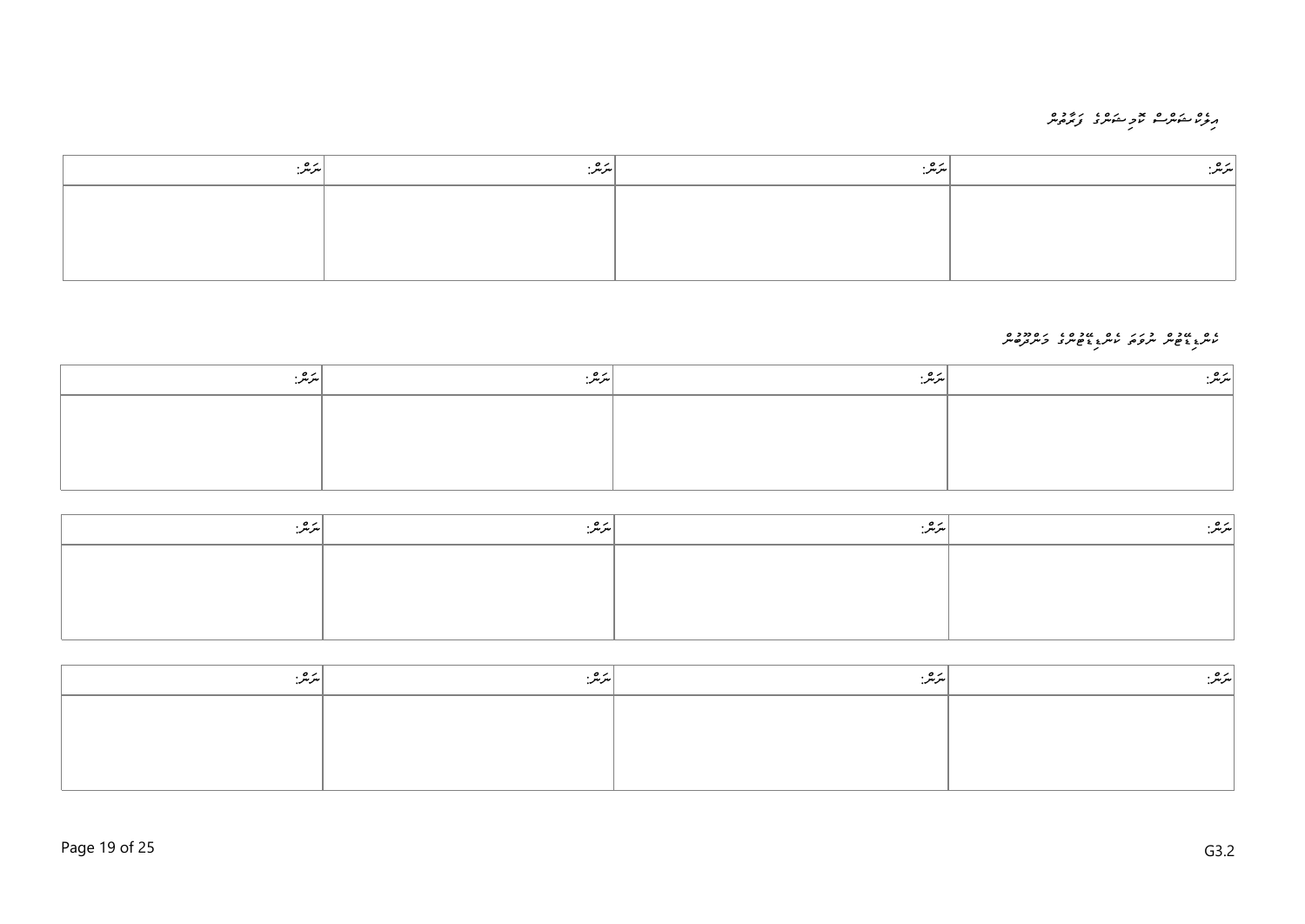## *w7qAn8m? sCw7mRo>u; wEw7mRw;sBo<*

| ' مرمر | 'يئرىثر: |
|--------|----------|
|        |          |
|        |          |
|        |          |

## *w7q9r@w7m> sCw7qHtFoFw7s; mAm=q7 w7qHtFoFw7s;*

| يئرمىش: | $^{\circ}$<br>. سر سر<br>$\cdot$ | $\circ$ $\sim$<br>-- | يئرمثر |
|---------|----------------------------------|----------------------|--------|
|         |                                  |                      |        |
|         |                                  |                      |        |
|         |                                  |                      |        |

| انترنثر: | $^{\circ}$ | يبرهر | $^{\circ}$<br>سرسر |
|----------|------------|-------|--------------------|
|          |            |       |                    |
|          |            |       |                    |
|          |            |       |                    |

| ىرتىر: | 。<br>سر سر | .,<br>مرسر |
|--------|------------|------------|
|        |            |            |
|        |            |            |
|        |            |            |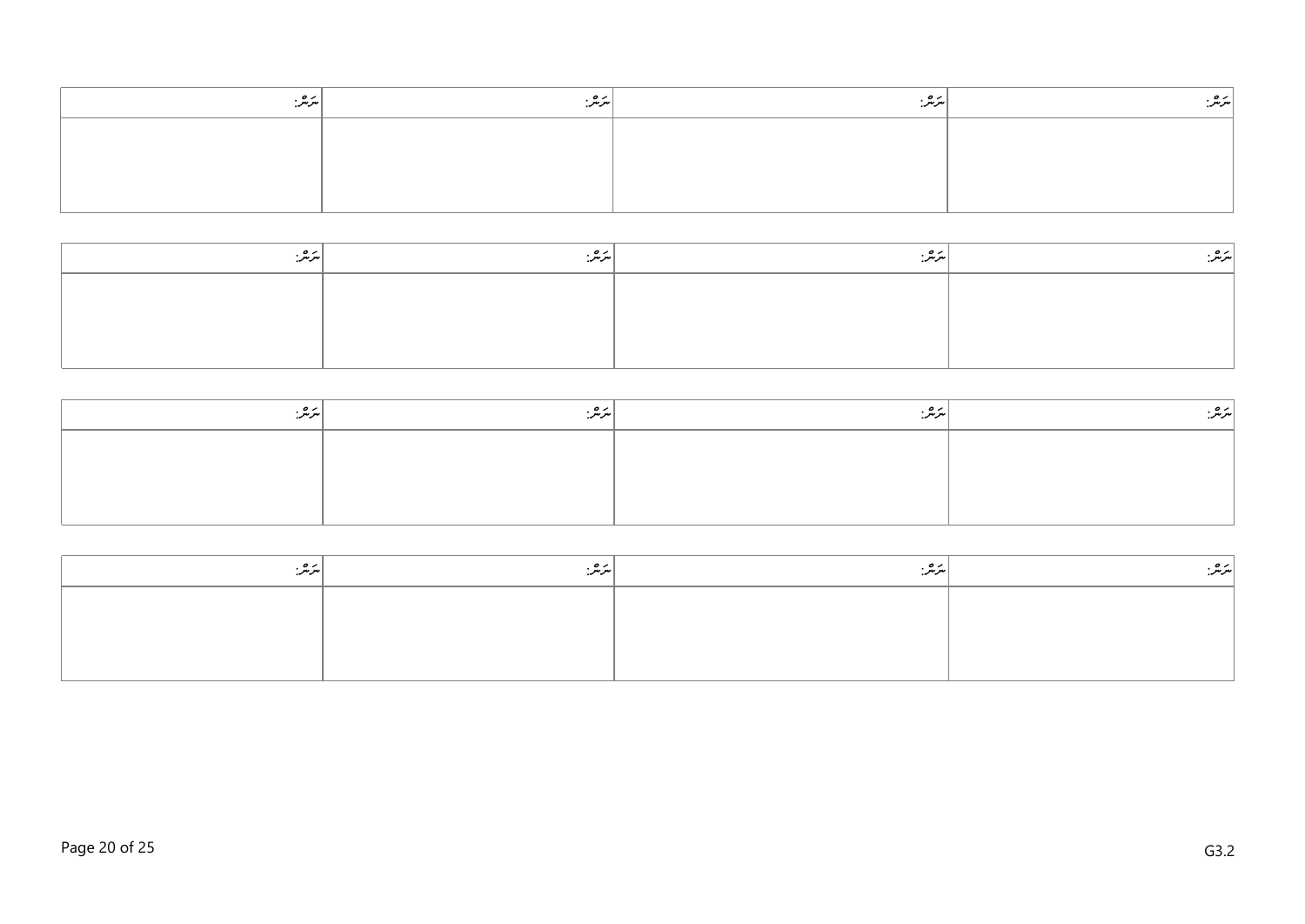| يزهر | $^{\circ}$ | ىئرىتر: |  |
|------|------------|---------|--|
|      |            |         |  |
|      |            |         |  |
|      |            |         |  |

| متريثر به | 。<br>'سرسر'۔ | يتزيترا | سرسر |
|-----------|--------------|---------|------|
|           |              |         |      |
|           |              |         |      |
|           |              |         |      |

| ىئرىتر. | $\sim$ | ا بر هه. | لىرىش |
|---------|--------|----------|-------|
|         |        |          |       |
|         |        |          |       |
|         |        |          |       |

| 。<br>مرس. | $\overline{\phantom{a}}$<br>مر مىر | يتريثر |
|-----------|------------------------------------|--------|
|           |                                    |        |
|           |                                    |        |
|           |                                    |        |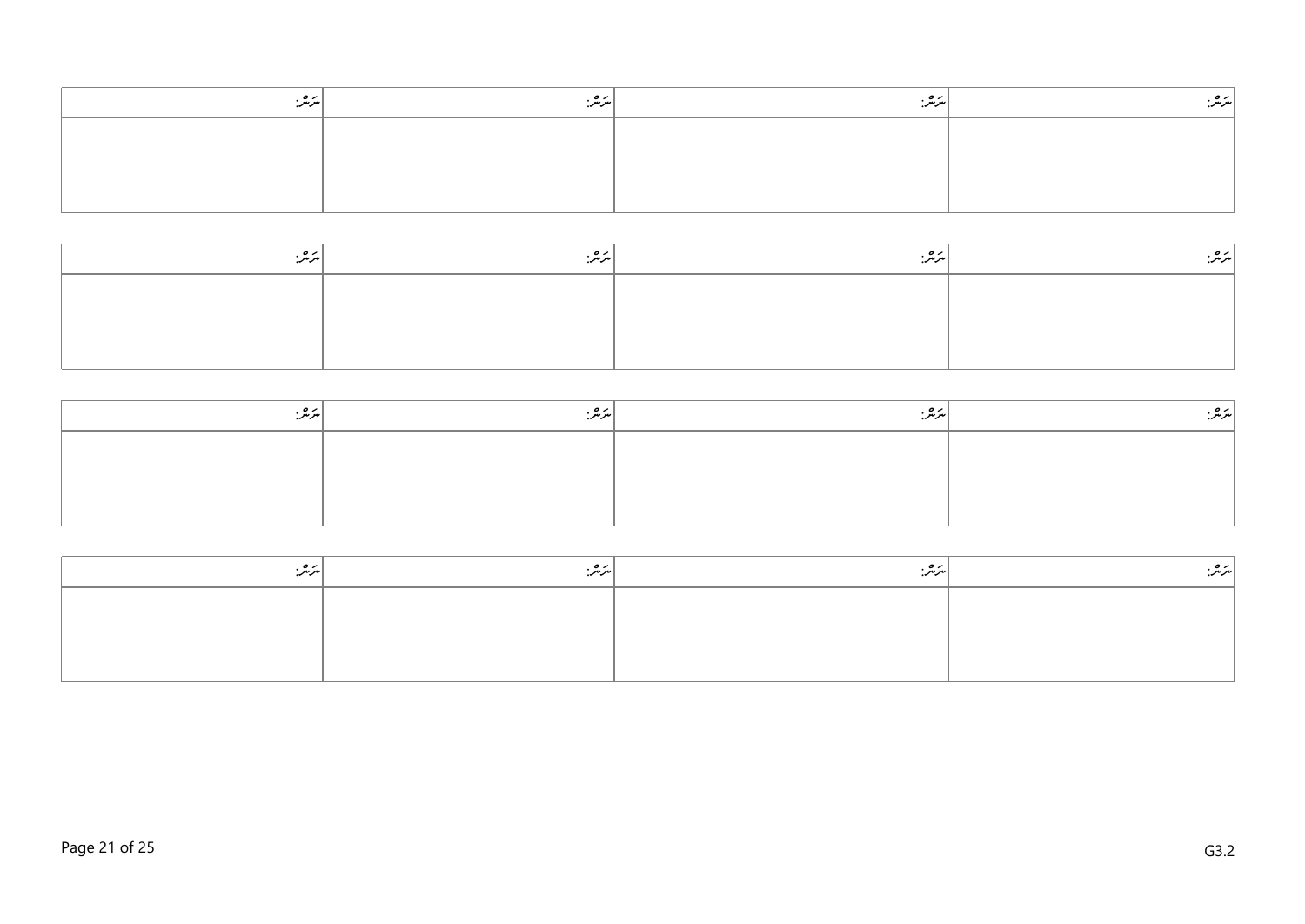| ير هو . | $\overline{\phantom{a}}$ | يرمر | اير هنه. |
|---------|--------------------------|------|----------|
|         |                          |      |          |
|         |                          |      |          |
|         |                          |      |          |

| ىر تىر: | $\circ$ $\sim$<br>" سرسر . | يبرحه | o . |
|---------|----------------------------|-------|-----|
|         |                            |       |     |
|         |                            |       |     |
|         |                            |       |     |

| 'تترنثر: | ر ه |  |
|----------|-----|--|
|          |     |  |
|          |     |  |
|          |     |  |

|  | . ه |
|--|-----|
|  |     |
|  |     |
|  |     |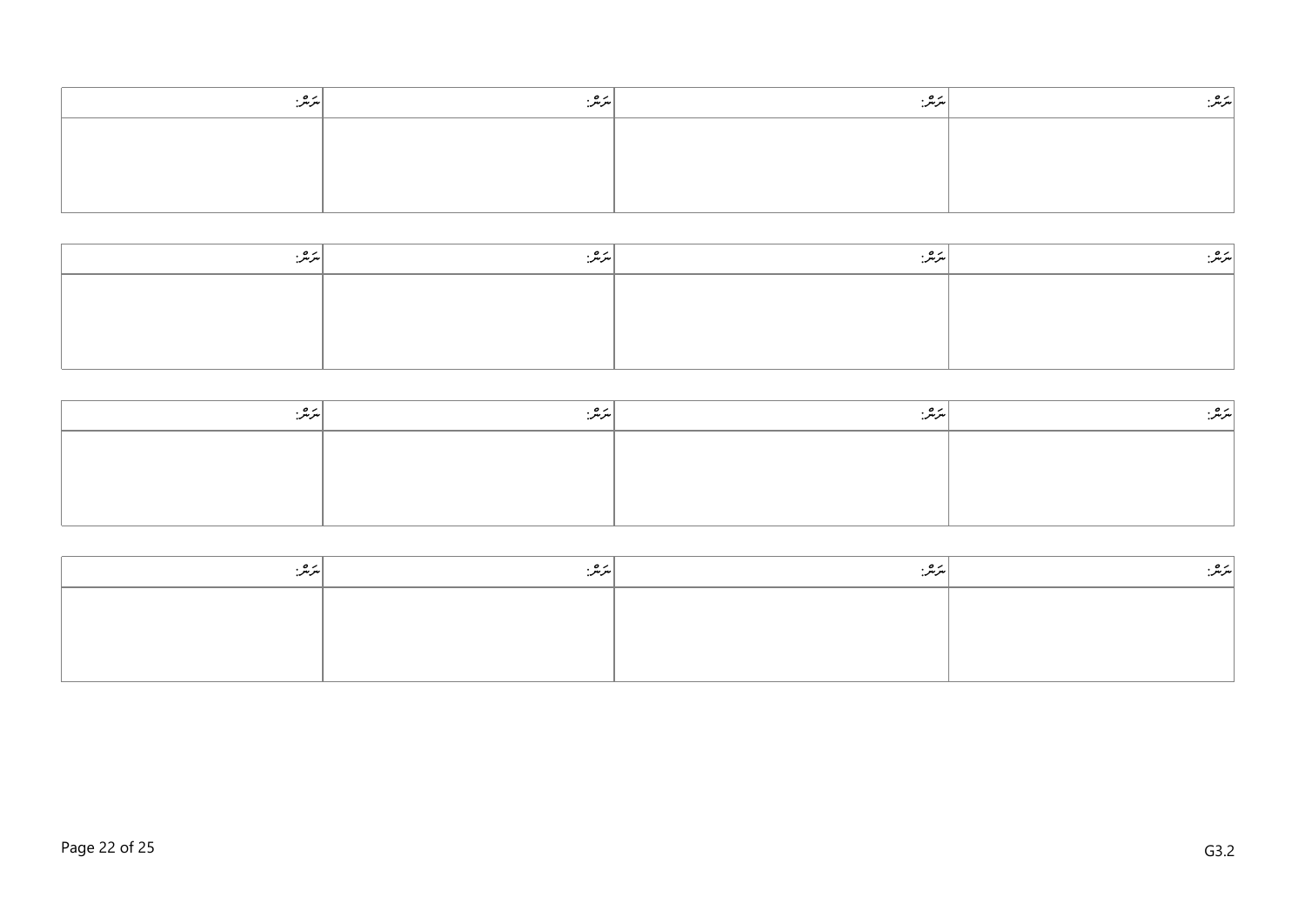| ير هو . | $\overline{\phantom{a}}$ | يرمر | اير هنه. |
|---------|--------------------------|------|----------|
|         |                          |      |          |
|         |                          |      |          |
|         |                          |      |          |

| ىر تىر: | $\circ$ $\sim$<br>" سرسر . | يبرحه | o . |
|---------|----------------------------|-------|-----|
|         |                            |       |     |
|         |                            |       |     |
|         |                            |       |     |

| 'تترنثر: | . .<br>يسمونس. |  |
|----------|----------------|--|
|          |                |  |
|          |                |  |
|          |                |  |

|  | . ه |
|--|-----|
|  |     |
|  |     |
|  |     |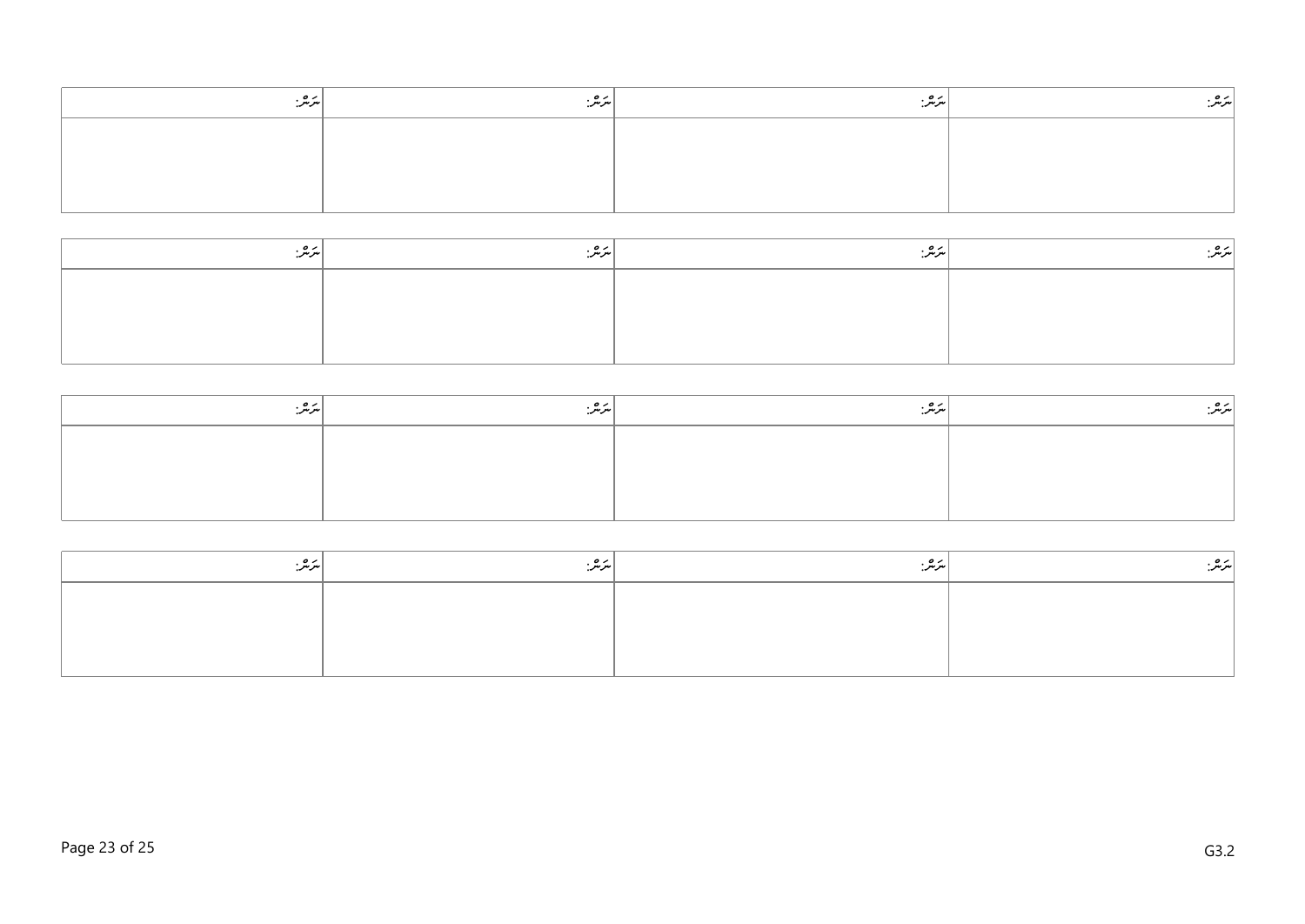| $\cdot$ | 。 | $\frac{\circ}{\cdot}$ | $\sim$<br>سرسر |
|---------|---|-----------------------|----------------|
|         |   |                       |                |
|         |   |                       |                |
|         |   |                       |                |

| يريثن | ' سرسر . |  |
|-------|----------|--|
|       |          |  |
|       |          |  |
|       |          |  |

| بر ه | . ه | $\sim$<br>سرسر |  |
|------|-----|----------------|--|
|      |     |                |  |
|      |     |                |  |
|      |     |                |  |

| 。<br>. س | ىرىىر |  |
|----------|-------|--|
|          |       |  |
|          |       |  |
|          |       |  |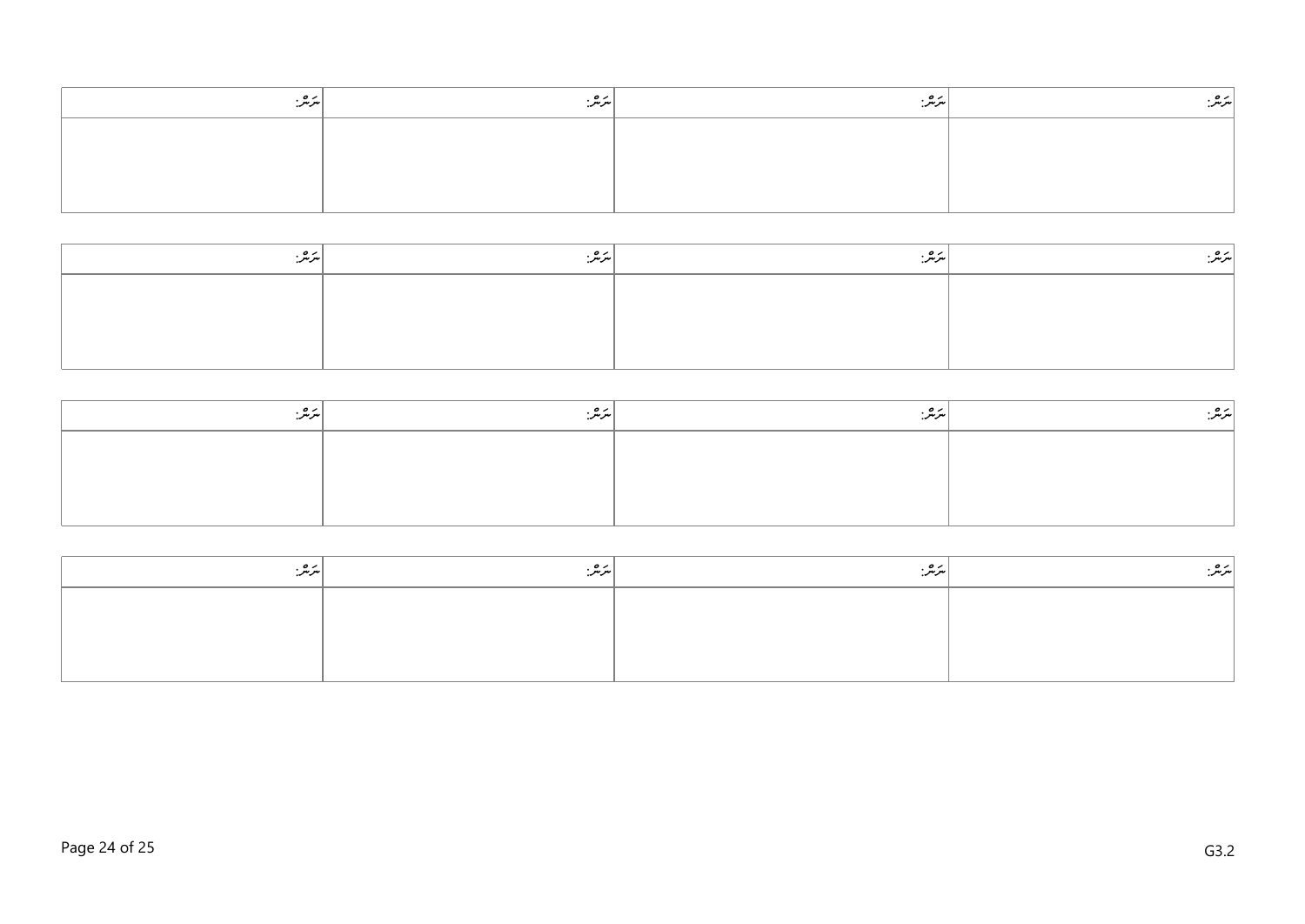| ير هو . | $\overline{\phantom{a}}$ | يرمر | اير هنه. |
|---------|--------------------------|------|----------|
|         |                          |      |          |
|         |                          |      |          |
|         |                          |      |          |

| ىر تىر: | $\circ$ $\sim$<br>" سرسر . | يبرحه | o . |
|---------|----------------------------|-------|-----|
|         |                            |       |     |
|         |                            |       |     |
|         |                            |       |     |

| انترنثر: | ر ه |  |
|----------|-----|--|
|          |     |  |
|          |     |  |
|          |     |  |

|  | . ه |
|--|-----|
|  |     |
|  |     |
|  |     |